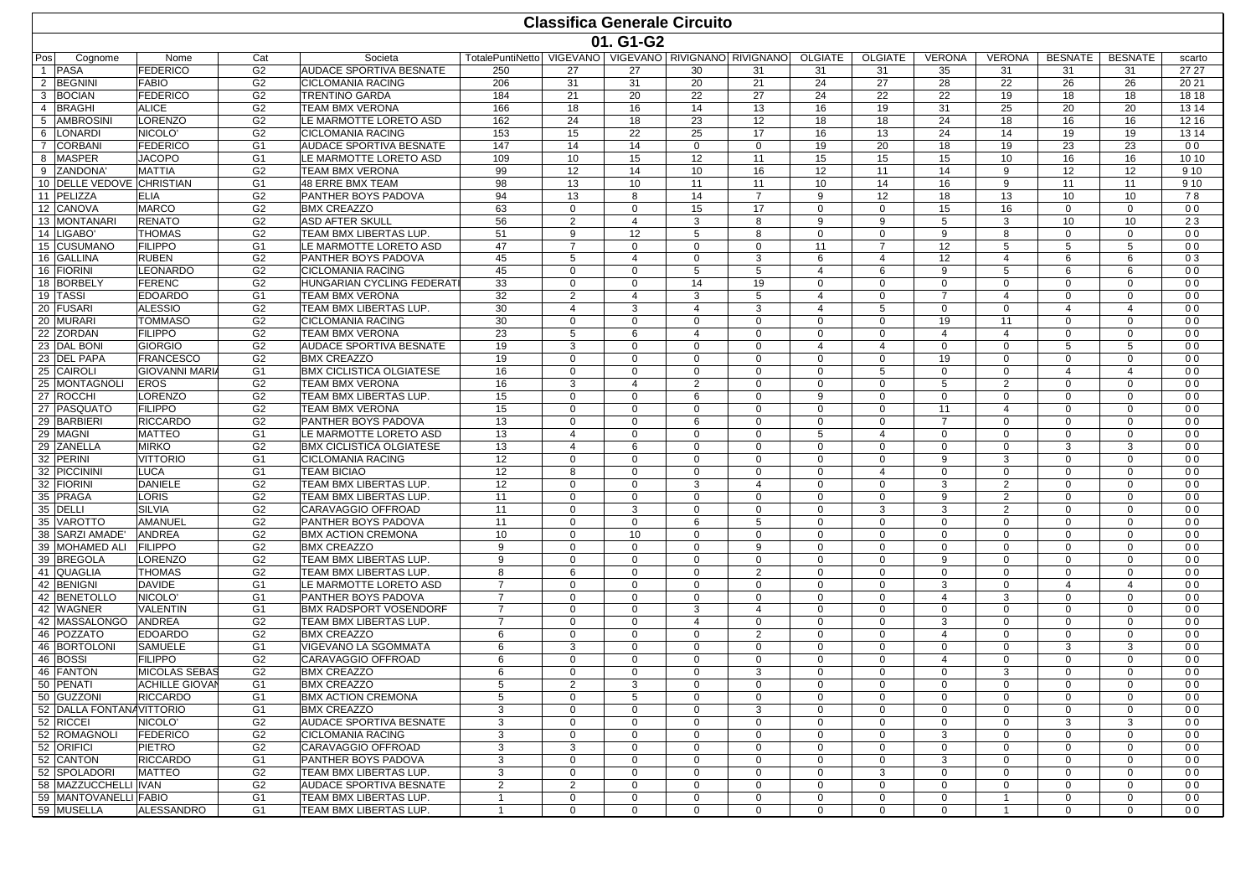|                                     | <b>Classifica Generale Circuito</b> |                                  |                                                  |                                |                             |                                |                  |                                       |                      |                   |                |                                  |                      |                              |                                  |
|-------------------------------------|-------------------------------------|----------------------------------|--------------------------------------------------|--------------------------------|-----------------------------|--------------------------------|------------------|---------------------------------------|----------------------|-------------------|----------------|----------------------------------|----------------------|------------------------------|----------------------------------|
|                                     |                                     |                                  |                                                  |                                |                             | 01. G1-G2                      |                  |                                       |                      |                   |                |                                  |                      |                              |                                  |
| Pos<br>Cognome                      | Nome                                | Cat                              | Societa                                          | TotalePuntiNetto               |                             |                                |                  | VIGEVANO VIGEVANO RIVIGNANO RIVIGNANO | OLGIATE              | <b>OLGIATE</b>    | <b>VERONA</b>  | <b>VERONA</b>                    | <b>BESNATE</b>       | <b>BESNATE</b>               | scarto                           |
| <b>PASA</b>                         | <b>FEDERICO</b>                     | G <sub>2</sub>                   | <b>AUDACE SPORTIVA BESNATE</b>                   | 250                            | 27                          | 27                             | 30               | 31                                    | 31                   | 31                | 35             | 31                               | 31                   | 31                           | 27 27                            |
| 2 BEGNIN                            | <b>FABIO</b>                        | G <sub>2</sub>                   | <b>CICLOMANIA RACING</b>                         | 206                            | 31                          | 31                             | 20               | 21                                    | 24                   | 27                | 28             | 22                               | 26                   | 26                           | 20 21                            |
| 3<br><b>BOCIAN</b>                  | <b>FEDERICO</b>                     | G <sub>2</sub>                   | <b>TRENTINO GARDA</b>                            | 184                            | 21                          | 20                             | 22               | 27                                    | 24                   | 22                | 22             | 19                               | 18                   | 18                           | 18 18                            |
| 4 BRAGHI                            | <b>ALICE</b>                        | G <sub>2</sub>                   | <b>TEAM BMX VERONA</b>                           | 166                            | 18                          | 16                             | 14               | 13                                    | 16                   | 19                | 31             | 25                               | 20                   | 20                           | 13 14                            |
| 5<br><b>AMBROSIN</b>                | LORENZO                             | G <sub>2</sub>                   | LE MARMOTTE LORETO ASD                           | 162                            | 24                          | 18                             | 23               | 12                                    | 18                   | 18                | 24             | 18                               | 16                   | 16                           | 12 16                            |
| <b>LONARDI</b><br>6                 | NICOLO'                             | G <sub>2</sub>                   | <b>CICLOMANIA RACING</b>                         | 153                            | 15                          | 22                             | 25               | 17                                    | 16                   | 13                | 24             | 14                               | 19                   | 19                           | 13 14                            |
| $\overline{7}$<br><b>CORBANI</b>    | <b>FEDERICO</b>                     | G <sub>1</sub>                   | <b>AUDACE SPORTIVA BESNATE</b>                   | 147                            | 14                          | 14                             | $\mathbf{0}$     | $\mathbf 0$                           | 19                   | 20                | 18             | 19                               | 23                   | 23                           | 0 <sub>0</sub>                   |
| 8<br><b>MASPER</b>                  | <b>JACOPO</b>                       | G1                               | LE MARMOTTE LORETO ASD                           | 109                            | 10                          | 15                             | 12               | 11                                    | 15                   | 15                | 15             | 10                               | 16                   | 16                           | 10 10                            |
| 9 ZANDONA                           | MATTIA                              | G <sub>2</sub>                   | <b>TEAM BMX VERONA</b>                           | 99                             | 12                          | 14                             | 10               | 16                                    | 12                   | 11                | 14             | 9                                | 12                   | 12                           | 9 1 0                            |
| 10 DELLE VEDOVE CHRISTIAN           |                                     | G <sub>1</sub>                   | <b>48 ERRE BMX TEAM</b>                          | 98                             | 13                          | 10                             | 11               | 11                                    | 10                   | 14                | 16             | 9                                | 11                   | 11                           | 9 1 0                            |
| 11 PELIZZA                          | <b>ELIA</b>                         | G <sub>2</sub>                   | PANTHER BOYS PADOVA                              | 94                             | 13                          | 8                              | 14               | $\overline{7}$                        | 9                    | 12                | 18             | 13                               | 10                   | 10                           | 78                               |
| 12 CANOVA<br>13 MONTANARI           | <b>MARCO</b>                        | G <sub>2</sub><br>G <sub>2</sub> | <b>BMX CREAZZO</b>                               | 63                             | $\mathbf 0$                 | $\mathbf{0}$<br>$\overline{4}$ | 15               | 17                                    | $\mathbf 0$<br>9     | $\mathbf{0}$<br>9 | 15             | 16                               | $\mathbf 0$<br>10    | $\mathbf{0}$<br>10           | 0 <sub>0</sub>                   |
| 14 LIGABO'                          | <b>RENATO</b><br><b>THOMAS</b>      | G <sub>2</sub>                   | <b>ASD AFTER SKULL</b><br>TEAM BMX LIBERTAS LUP  | 56<br>51                       | 2<br>9                      | 12                             | 3                | 8                                     |                      | $\mathbf 0$       | 5<br>9         | 3<br>8                           | $\mathbf 0$          | $\mathbf{0}$                 | 23<br>0 <sub>0</sub>             |
| 15 CUSUMANO                         | <b>FILIPPO</b>                      | G <sub>1</sub>                   | LE MARMOTTE LORETO ASD                           | 47                             | $\overline{7}$              | $\Omega$                       | 5<br>$\Omega$    | 8<br>$\Omega$                         | 0<br>11              | $\overline{7}$    | 12             | 5                                | 5                    | 5                            | 0 <sub>0</sub>                   |
| 16 GALLINA                          | <b>RUBEN</b>                        | G <sub>2</sub>                   | <b>PANTHER BOYS PADOVA</b>                       | 45                             | 5                           | $\overline{4}$                 | $\mathbf 0$      | 3                                     | 6                    | $\overline{4}$    | 12             | $\overline{4}$                   | 6                    | 6                            | 03                               |
| 16 FIORINI                          | LEONARDO                            | G <sub>2</sub>                   | <b>CICLOMANIA RACING</b>                         | 45                             | $\mathbf 0$                 | $\mathbf 0$                    | 5                | 5                                     | 4                    | 6                 | $\mathbf{Q}$   | 5                                | 6                    | 6                            | 0 <sub>0</sub>                   |
| 18 BORBELY                          | <b>FERENC</b>                       | G <sub>2</sub>                   | HUNGARIAN CYCLING FEDERATI                       | 33                             | $\mathbf 0$                 | $\mathbf{0}$                   | 14               | 19                                    | $\mathbf 0$          | $\mathbf 0$       | $\mathbf 0$    | $\mathbf 0$                      | $\mathbf 0$          | $\mathbf{0}$                 | 0 <sub>0</sub>                   |
| 19 TASSI                            | <b>EDOARDO</b>                      | G1                               | TEAM BMX VERONA                                  | 32                             | 2                           | $\overline{4}$                 | 3                | 5                                     | 4                    | $\Omega$          | $\overline{7}$ | $\overline{4}$                   | $\mathbf 0$          | $\mathbf 0$                  | 0 <sub>0</sub>                   |
| 20 FUSARI                           | <b>ALESSIO</b>                      | G <sub>2</sub>                   | TEAM BMX LIBERTAS LUP                            | 30                             | 4                           | 3                              | 4                | 3                                     | 4                    | 5                 | $\Omega$       | $\mathbf 0$                      | $\overline{4}$       | 4                            | 0 <sub>0</sub>                   |
| 20 MURARI                           | <b>TOMMASO</b>                      | G <sub>2</sub>                   | <b>CICLOMANIA RACING</b>                         | 30                             | $\mathbf 0$                 | $\mathbf 0$                    | $\mathbf 0$      | $\mathbf 0$                           | $\Omega$             | $\mathbf 0$       | 19             | 11                               | $\Omega$             | $\mathbf{0}$                 | 0 <sub>0</sub>                   |
| 22 ZORDAN                           | <b>FILIPPO</b>                      | G <sub>2</sub>                   | <b>TEAM BMX VERONA</b>                           | 23                             | 5                           | 6                              | $\overline{4}$   | $\mathbf 0$                           | $\mathbf 0$          | $\mathbf{0}$      | $\overline{4}$ | $\overline{4}$                   | $\Omega$             | $\mathbf{0}$                 | 0 <sub>0</sub>                   |
| 23 DAL BONI                         | <b>GIORGIO</b>                      | G <sub>2</sub>                   | <b>AUDACE SPORTIVA BESNATE</b>                   | 19                             | 3                           | $\mathbf 0$                    | $\mathbf 0$      | $\mathbf 0$                           | 4                    | $\overline{4}$    | $\mathbf 0$    | $\mathbf 0$                      | 5                    | 5                            | 0 <sub>0</sub>                   |
| 23 DEL PAPA                         | <b>FRANCESCO</b>                    | G <sub>2</sub>                   | <b>BMX CREAZZO</b>                               | 19                             | $\mathbf 0$                 | 0                              | $\mathbf 0$      | $\mathbf 0$                           | $\mathbf 0$          | $\Omega$          | 19             | $\mathbf 0$                      | $\Omega$             | $\mathbf 0$                  | 0 <sub>0</sub>                   |
| 25 CAIROLI                          | <b>GIOVANNI MARI</b>                | G <sub>1</sub>                   | <b>BMX CICLISTICA OLGIATESE</b>                  | 16                             | $\mathbf 0$                 | 0                              | $\mathbf 0$      | $\mathbf 0$                           | $\Omega$             | 5                 | $\Omega$       | $\mathbf 0$                      | 4                    | 4                            | 0 <sub>0</sub>                   |
| 25 MONTAGNOLI                       | <b>EROS</b>                         | G <sub>2</sub>                   | <b>TEAM BMX VERONA</b>                           | 16                             | 3                           | $\overline{4}$                 | 2                | $\mathbf 0$                           | $\Omega$             | $\mathbf 0$       | 5              | 2                                | $\Omega$             | $\Omega$                     | 0 <sub>0</sub>                   |
| 27 ROCCHI                           | LORENZO                             | G <sub>2</sub>                   | TEAM BMX LIBERTAS LUP.                           | 15                             | $\mathbf 0$                 | $\mathbf 0$                    | 6                | $\mathbf 0$                           | 9                    | $\mathbf{0}$      | $\mathbf 0$    | $\mathbf 0$                      | $\mathbf 0$          | $\mathbf{0}$                 | 0 <sub>0</sub>                   |
| 27 PASQUATO                         | <b>FILIPPO</b>                      | G <sub>2</sub>                   | <b>TEAM BMX VERONA</b>                           | 15                             | 0                           | $\mathbf 0$                    | $\mathbf 0$      | $\mathbf 0$                           | $\Omega$             | $\mathbf 0$       | 11             | $\overline{4}$                   | $\Omega$             | $\mathbf{0}$                 | 0 <sub>0</sub>                   |
| 29 BARBIERI                         | <b>RICCARDO</b>                     | G <sub>2</sub>                   | PANTHER BOYS PADOVA                              | 13                             | $\mathbf 0$                 | $\mathbf 0$                    | 6                | $\mathbf 0$                           | $\mathbf 0$          | $\mathbf 0$       |                | $\mathbf 0$                      | $\Omega$             | $\Omega$                     | 0 <sub>0</sub>                   |
| 29 MAGNI                            | <b>MATTEO</b>                       | G <sub>1</sub>                   | LE MARMOTTE LORETO ASD                           | 13                             | 4                           | $\Omega$                       | $\Omega$         | $\mathbf 0$                           | 5                    | 4                 | $\Omega$       | $\mathbf 0$                      | $\Omega$             | $\mathbf 0$                  | 0 <sub>0</sub>                   |
| 29 ZANELLA                          | <b>MIRKO</b>                        | G <sub>2</sub>                   | <b>BMX CICLISTICA OLGIATESE</b>                  | 13                             | $\overline{4}$              | 6                              | $\mathbf 0$      | $\mathbf 0$                           | $\Omega$             | $\Omega$          | $\Omega$       | $\mathbf 0$                      | 3                    | 3                            | 0 <sub>0</sub>                   |
| 32 PERINI                           | <b>VITTORIO</b>                     | G <sub>1</sub>                   | <b>CICLOMANIA RACING</b>                         | 12                             | $\mathbf 0$                 | $\mathbf{0}$                   | $\Omega$         | $\mathbf 0$                           | $\Omega$             | $\Omega$          | 9              | 3                                | $\Omega$             | $\Omega$                     | 0 <sub>0</sub>                   |
| 32 PICCININI                        | <b>LUCA</b>                         | G1                               | <b>TEAM BICIAO</b>                               | 12                             | 8                           | $\mathbf{0}$                   | $\mathbf 0$      | $\mathbf 0$                           | $\mathbf 0$          | $\overline{4}$    | $\mathbf 0$    | $\mathbf 0$                      | $\mathbf 0$          | $\mathbf{0}$                 | 0 <sub>0</sub>                   |
| 32 FIORINI                          | <b>DANIELE</b>                      | G <sub>2</sub>                   | TEAM BMX LIBERTAS LUP                            | 12                             | $\mathbf 0$                 | 0                              | 3                | $\overline{4}$                        | $\Omega$             | $\Omega$          | 3              | 2                                | $\Omega$<br>$\Omega$ | $\mathbf 0$                  | 0 <sub>0</sub>                   |
| 35 PRAGA                            | LORIS<br><b>SILVIA</b>              | G <sub>2</sub>                   | TEAM BMX LIBERTAS LUP                            | 11                             | $\Omega$                    | $\Omega$                       | $\Omega$         | $\Omega$                              | $\Omega$<br>$\Omega$ | $\Omega$          | 9<br>3         | $\overline{2}$<br>$\overline{2}$ | $\Omega$             | $\Omega$                     | 0 <sub>0</sub>                   |
| 35 DELLI<br>35 VAROTTO              | AMANUEL                             | G <sub>2</sub><br>G <sub>2</sub> | CARAVAGGIO OFFROAD<br>PANTHER BOYS PADOVA        | 11<br>11                       | $\mathbf 0$<br>$\mathbf{0}$ | 3<br>$\mathbf{0}$              | $\mathbf 0$<br>6 | $\mathbf 0$<br>5                      | $\mathbf 0$          | 3<br>$\mathbf 0$  | $\Omega$       | $\mathbf 0$                      | $\Omega$             | $\mathbf{0}$<br>$\mathbf{0}$ | 0 <sub>0</sub><br>0 <sub>0</sub> |
| 38 SARZI AMADE'                     | <b>ANDREA</b>                       | G <sub>2</sub>                   | <b>BMX ACTION CREMONA</b>                        | 10                             | $\mathbf 0$                 | 10                             | $\mathbf 0$      | $\mathbf 0$                           | $\mathbf 0$          | $\mathbf 0$       | $\mathbf 0$    | $\mathbf 0$                      | $\mathbf 0$          | $\mathbf{0}$                 | 0 <sub>0</sub>                   |
| 39 MOHAMED ALI                      | <b>FILIPPO</b>                      | G <sub>2</sub>                   | <b>BMX CREAZZO</b>                               | 9                              | 0                           | 0                              | $\mathbf 0$      | 9                                     | $\mathbf 0$          | $\mathbf 0$       | $\Omega$       | $\mathbf 0$                      | $\mathbf 0$          | $\mathbf{0}$                 | 0 <sub>0</sub>                   |
| 39 BREGOLA                          | LORENZO                             | G <sub>2</sub>                   | TEAM BMX LIBERTAS LUP                            | 9                              | $\Omega$                    | $\Omega$                       | $\Omega$         | $\Omega$                              | $\Omega$             | $\Omega$          | $\mathbf{Q}$   | $\mathbf 0$                      | $\Omega$             | $\mathbf 0$                  | 0 <sub>0</sub>                   |
| 41 QUAGLIA                          | <b>THOMAS</b>                       | G <sub>2</sub>                   | TEAM BMX LIBERTAS LUP                            | 8                              | 6                           | $\mathbf 0$                    | $\mathbf 0$      | $\overline{2}$                        | $\Omega$             | $\Omega$          | $\Omega$       | $\mathbf 0$                      | $\Omega$             | $\mathbf{0}$                 | 0 <sub>0</sub>                   |
| 42 BENIGNI                          | <b>DAVIDE</b>                       | G <sub>1</sub>                   | LE MARMOTTE LORETO ASD                           | $\overline{7}$                 | $\mathbf 0$                 | $\mathbf{0}$                   | $\mathbf 0$      | $\mathbf 0$                           | $\mathbf 0$          | $\mathbf 0$       | 3              | $\mathbf 0$                      | $\overline{4}$       | 4                            | 0 <sub>0</sub>                   |
| 42 BENETOLLO                        | NICOLO <sup>'</sup>                 | G <sub>1</sub>                   | PANTHER BOYS PADOVA                              | $\overline{7}$                 | $\mathbf 0$                 | $\mathbf 0$                    | $\mathbf 0$      | $\mathbf 0$                           | $\mathbf{0}$         | $\mathbf 0$       | $\overline{4}$ | 3                                | $\mathbf 0$          | $\mathbf{0}$                 | 0 <sub>0</sub>                   |
| 42 WAGNER                           | VALENTIN                            | G1                               | <b>BMX RADSPORT VOSENDORF</b>                    | $\overline{7}$                 | 0                           | $\mathbf{0}$                   | 3                | $\overline{4}$                        | $\mathbf 0$          | $\mathbf 0$       | $\Omega$       | $\mathbf 0$                      | $\mathbf 0$          | $\mathbf{0}$                 | 0 <sub>0</sub>                   |
| 42 MASSALONGO                       | <b>ANDREA</b>                       | G <sub>2</sub>                   | TEAM BMX LIBERTAS LUP                            | $\overline{7}$                 | $\Omega$                    | $\Omega$                       | 4                | $\mathbf 0$                           | $\Omega$             | $\Omega$          | 3              | $\mathbf 0$                      | $\Omega$             | $\mathbf 0$                  | 0 <sub>0</sub>                   |
| <b>POZZATO</b><br>46                | <b>EDOARDO</b>                      | G <sub>2</sub>                   | <b>BMX CREAZZO</b>                               | 6                              | $\mathbf 0$                 | $\mathbf 0$                    | $\mathbf 0$      | $\overline{2}$                        | $\Omega$             | $\mathbf 0$       | $\overline{4}$ | $\mathbf 0$                      | $\Omega$             | $\mathbf{0}$                 | 0 <sub>0</sub>                   |
| 46<br><b>BORTOLONI</b>              | <b>SAMUELE</b>                      | G1                               | VIGEVANO LA SGOMMATA                             | 6                              | 3                           | 0                              | $\mathbf 0$      | $\mathbf 0$                           | $\Omega$             | $\mathbf 0$       | $\Omega$       | $\mathbf 0$                      | 3                    | 3                            | 0 <sub>0</sub>                   |
| 46 BOSSI                            | <b>FILIPPO</b>                      | G <sub>2</sub>                   | CARAVAGGIO OFFROAD                               | 6                              | $\mathbf 0$                 | $\mathbf 0$                    | $\mathbf 0$      | $\mathbf 0$                           | $\Omega$             | $\Omega$          | 4              | $\mathbf 0$                      | $\mathbf 0$          | $\mathbf{0}$                 | 0 <sub>0</sub>                   |
| 46 FANTON                           | <b>MICOLAS SEBAS</b>                | G <sub>2</sub>                   | <b>BMX CREAZZO</b>                               | 6                              | $\mathbf 0$                 | $\mathbf{0}$                   | $\mathbf 0$      | 3                                     | $\Omega$             | $\mathbf 0$       | $\Omega$       | 3                                | $\mathbf 0$          | $\mathbf 0$                  | 0 <sub>0</sub>                   |
| 50 PENATI                           | <b>ACHILLE GIOVAN</b>               | G1                               | <b>BMX CREAZZO</b>                               | 5                              | $\overline{2}$              | 3                              | $\mathbf 0$      | 0                                     | 0                    | $\mathbf 0$       | $^{\circ}$     | $\mathbf 0$                      | 0                    | $\mathbf 0$                  | 0 <sub>0</sub>                   |
| 50 GUZZONI                          | <b>RICCARDO</b>                     | G1                               | <b>BMX ACTION CREMONA</b>                        | 5                              | $\mathbf 0$                 | 5                              | $\mathbf 0$      | $\mathbf 0$                           | $\mathbf 0$          | $\mathbf{0}$      | $\mathbf 0$    | $\mathbf 0$                      | $\mathbf 0$          | $\mathbf{0}$                 | 0 <sub>0</sub>                   |
| 52 DALLA FONTANAVITTORIO            |                                     | G1                               | <b>BMX CREAZZO</b>                               | 3                              | 0                           | $\mathbf 0$                    | $\mathbf{0}$     | 3                                     | $\mathbf 0$          | $\mathbf{0}$      | $\mathbf 0$    | $\mathbf 0$                      | 0                    | $\mathbf 0$                  | 0 <sub>0</sub>                   |
| 52 RICCEI                           | NICOLO'                             | G <sub>2</sub>                   | <b>AUDACE SPORTIVA BESNATE</b>                   | 3                              | 0                           | 0                              | $\mathbf 0$      | $\mathbf 0$                           | $\mathbf 0$          | $\mathbf 0$       | $\mathbf 0$    | $\mathbf 0$                      | 3                    | 3                            | 0 <sub>0</sub>                   |
| 52 ROMAGNOLI                        | <b>FEDERICO</b>                     | G <sub>2</sub>                   | <b>CICLOMANIA RACING</b>                         | 3                              | 0                           | $\mathbf 0$                    | $\mathbf 0$      | 0                                     | $\mathbf 0$          | $\mathbf 0$       | 3              | $\mathbf 0$                      | 0                    | $\mathbf 0$                  | 0 <sub>0</sub>                   |
| 52 ORIFICI                          | <b>PIETRO</b>                       | G <sub>2</sub>                   | CARAVAGGIO OFFROAD                               | 3                              | 3                           | 0                              | $\mathbf 0$      | $\mathbf 0$                           | $\Omega$             | $\mathbf 0$       | $\Omega$       | $\mathbf 0$                      | $\mathbf 0$          | 0                            | 0 <sub>0</sub>                   |
| 52 CANTON                           | <b>RICCARDO</b>                     | G1                               | <b>PANTHER BOYS PADOVA</b>                       | 3                              | 0                           | $\mathbf 0$                    | $\mathbf 0$      | $\mathbf 0$                           | $\mathbf 0$          | $\mathbf 0$       | 3              | $\mathbf 0$                      | $\mathbf 0$          | $\mathbf{0}$                 | 0 <sub>0</sub>                   |
| 52 SPOLADORI                        | MATTEO                              | G <sub>2</sub>                   | TEAM BMX LIBERTAS LUP.                           | 3                              | 0                           | 0                              | $\mathbf{0}$     | $\mathbf 0$                           | $\mathbf 0$          | 3                 | $\mathbf 0$    | $\mathbf 0$                      | 0                    | $\mathbf 0$                  | 0 <sub>0</sub>                   |
| 58 MAZZUCCHELLI IVAN                |                                     | G <sub>2</sub>                   | AUDACE SPORTIVA BESNATE                          | $\overline{2}$                 | $\overline{2}$              | $\mathbf 0$                    | 0                | $\mathbf 0$                           | $\mathbf 0$          | $\mathbf 0$       | $\mathbf 0$    | $\mathbf 0$                      | 0                    | $\mathbf 0$                  | 0 <sub>0</sub>                   |
| 59 MANTOVANELLI FABIO<br>59 MUSELLA | ALESSANDRO                          | G1<br>G <sub>1</sub>             | TEAM BMX LIBERTAS LUP.<br>TEAM BMX LIBERTAS LUP. | $\mathbf{1}$<br>$\overline{1}$ | 0<br>0                      | $\mathbf 0$<br>$\mathbf 0$     | 0<br>$\mathbf 0$ | 0<br>$\mathbf 0$                      | 0<br>$\Omega$        | 0<br>$\mathbf 0$  | 0<br>$\Omega$  | $\overline{1}$<br>$\overline{1}$ | 0<br>$\mathbf 0$     | $\mathbf 0$<br>$\mathbf 0$   | 0 <sub>0</sub><br>0 <sub>0</sub> |
|                                     |                                     |                                  |                                                  |                                |                             |                                |                  |                                       |                      |                   |                |                                  |                      |                              |                                  |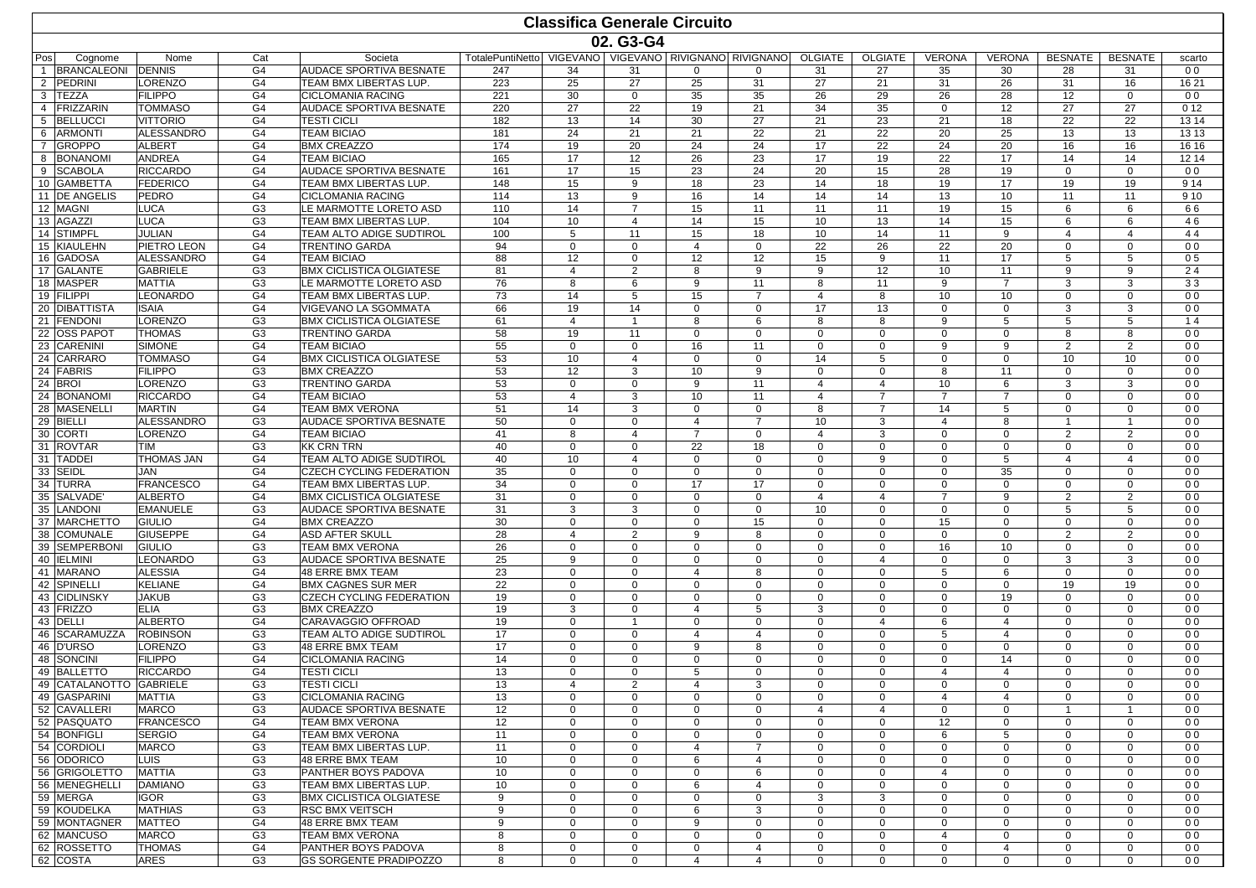|                                 |                                  |                                  |                                                           |                  |                            |                              | <b>Classifica Generale Circuito</b> |                                             |                            |                               |                            |                               |                              |                                |                                  |
|---------------------------------|----------------------------------|----------------------------------|-----------------------------------------------------------|------------------|----------------------------|------------------------------|-------------------------------------|---------------------------------------------|----------------------------|-------------------------------|----------------------------|-------------------------------|------------------------------|--------------------------------|----------------------------------|
|                                 |                                  |                                  |                                                           |                  |                            | 02. G3-G4                    |                                     |                                             |                            |                               |                            |                               |                              |                                |                                  |
| Pos<br>Cognome                  | Nome                             | Cat                              | Societa                                                   | TotalePuntiNetto |                            |                              |                                     | VIGEVANO   VIGEVANO   RIVIGNANO   RIVIGNANO | <b>OLGIATE</b>             | <b>OLGIATE</b>                | <b>VERONA</b>              | <b>VERONA</b>                 | <b>BESNATE</b>               | <b>BESNATE</b>                 | scarto                           |
| <b>BRANCALEONI</b>              | <b>DENNIS</b>                    | G <sub>4</sub>                   | AUDACE SPORTIVA BESNATE                                   | 247              | 34                         | 31                           | $\Omega$                            | $\Omega$                                    | 31                         | 27                            | 35                         | 30                            | 28                           | 31                             | 0 <sub>0</sub>                   |
| PEDRINI<br>2                    | LORENZO                          | G4                               | TEAM BMX LIBERTAS LUP.                                    | 223              | 25                         | 27                           | 25                                  | 31                                          | 27                         | 21                            | 31                         | 26                            | 31                           | 16                             | 16 21                            |
| 3<br><b>TEZZA</b>               | <b>FILIPPO</b>                   | G <sub>4</sub>                   | <b>CICLOMANIA RACING</b>                                  | 221              | 30                         | $\mathbf{0}$                 | 35                                  | 35                                          | 26                         | 29                            | 26                         | 28                            | 12                           | $\mathbf{0}$                   | 0 <sub>0</sub>                   |
| 4 FRIZZARIN<br>5 BELLUCCI       | <b>TOMMASO</b>                   | G4                               | AUDACE SPORTIVA BESNATE                                   | 220              | 27                         | 22                           | 19                                  | 21                                          | 34                         | 35                            | $\mathbf 0$                | 12                            | 27                           | 27                             | 012                              |
| <b>ARMONTI</b><br>6             | VITTORIO<br><b>ALESSANDRO</b>    | G4<br>G <sub>4</sub>             | <b>TESTI CICLI</b><br><b>TEAM BICIAO</b>                  | 182<br>181       | 13<br>24                   | 14<br>21                     | 30<br>21                            | 27<br>22                                    | 21<br>21                   | 23<br>22                      | 21<br>20                   | 18<br>25                      | 22<br>13                     | 22<br>13                       | 13 14<br>13 13                   |
| $\overline{7}$<br><b>GROPPO</b> | <b>ALBERT</b>                    | G4                               | <b>BMX CREAZZO</b>                                        | 174              | 19                         | 20                           | 24                                  | 24                                          | 17                         | 22                            | 24                         | 20                            | 16                           | 16                             | 16 16                            |
| <b>BONANOMI</b><br>8            | <b>ANDREA</b>                    | G <sub>4</sub>                   | <b>TEAM BICIAO</b>                                        | 165              | 17                         | 12                           | 26                                  | 23                                          | 17                         | 19                            | 22                         | 17                            | 14                           | 14                             | 12 14                            |
| 9 SCABOLA                       | <b>RICCARDO</b>                  | G4                               | <b>AUDACE SPORTIVA BESNATE</b>                            | 161              | 17                         | 15                           | 23                                  | 24                                          | 20                         | 15                            | 28                         | 19                            | $\mathbf 0$                  | $\mathbf{0}$                   | 0 <sub>0</sub>                   |
| 10 GAMBETTA                     | <b>FEDERICO</b>                  | G <sub>4</sub>                   | TEAM BMX LIBERTAS LUP.                                    | 148              | 15                         | 9                            | 18                                  | 23                                          | 14                         | 18                            | 19                         | 17                            | 19                           | 19                             | 9 1 4                            |
| 11 <b>IDE ANGELIS</b>           | PEDRO                            | G <sub>4</sub>                   | <b>CICLOMANIA RACING</b>                                  | 114              | 13                         | 9                            | 16                                  | 14                                          | 14                         | 14                            | 13                         | 10                            | 11                           | 11                             | 9 1 0                            |
| 12 MAGNI                        | LUCA                             | G <sub>3</sub>                   | LE MARMOTTE LORETO ASD                                    | 110              | 14                         | $\overline{7}$               | 15                                  | 11                                          | 11                         | 11                            | 19                         | 15                            | 6                            | 6                              | 66                               |
| 13 AGAZZI                       | LUCA                             | G <sub>3</sub>                   | TEAM BMX LIBERTAS LUP.                                    | 104              | 10                         | $\overline{4}$               | 14                                  | 15                                          | 10                         | 13                            | 14                         | 15                            | 6                            | 6                              | 46                               |
| 14 STIMPFL<br>15 KIAULEHN       | JULIAN<br>PIETRO LEON            | G4<br>G4                         | TEAM ALTO ADIGE SUDTIROL<br><b>TRENTINO GARDA</b>         | 100<br>94        | 5<br>$\mathbf 0$           | 11<br>$\Omega$               | 15<br>4                             | 18<br>$\mathbf 0$                           | 10<br>22                   | 14<br>26                      | 11<br>22                   | 9<br>20                       | 4<br>$\Omega$                | $\overline{4}$<br>$\Omega$     | 44<br>0 <sub>0</sub>             |
| 16 GADOSA                       | <b>ALESSANDRO</b>                | G <sub>4</sub>                   | <b>TEAM BICIAO</b>                                        | 88               | 12                         | $\mathbf{0}$                 | 12                                  | 12                                          | 15                         | 9                             | 11                         | 17                            | 5                            | 5                              | 05                               |
| 17 GALANTE                      | <b>GABRIELE</b>                  | G <sub>3</sub>                   | <b>BMX CICLISTICA OLGIATESE</b>                           | 81               | $\overline{4}$             | $\overline{2}$               | 8                                   | 9                                           | 9                          | 12                            | 10                         | 11                            | 9                            | 9                              | 24                               |
| 18 MASPER                       | <b>MATTIA</b>                    | G <sub>3</sub>                   | LE MARMOTTE LORETO ASD                                    | 76               | 8                          | 6                            | 9                                   | 11                                          | 8                          | 11                            | 9                          | $\overline{7}$                | 3                            | 3                              | 33                               |
| 19 FILIPPI                      | <b>LEONARDO</b>                  | G4                               | TEAM BMX LIBERTAS LUP.                                    | 73               | 14                         | 5                            | 15                                  | $\overline{7}$                              | $\overline{4}$             | 8                             | 10                         | 10                            | $\Omega$                     | $\mathbf{0}$                   | 0 <sub>0</sub>                   |
| 20 DIBATTISTA                   | <b>ISAIA</b>                     | G4                               | VIGEVANO LA SGOMMATA                                      | 66               | 19                         | 14                           | 0                                   | $\Omega$                                    | 17                         | 13                            | $\mathbf 0$                | $\Omega$                      | 3                            | 3                              | 0 <sub>0</sub>                   |
| 21 FENDONI                      | LORENZO                          | G <sub>3</sub>                   | <b>BMX CICLISTICA OLGIATESE</b>                           | 61               | 4                          | $\overline{1}$               | 8                                   | 6                                           | 8                          | 8                             | 9                          | 5                             | 5                            | 5                              | 14                               |
| 22 OSS PAPOT                    | <b>THOMAS</b>                    | G <sub>3</sub>                   | <b>TRENTINO GARDA</b>                                     | 58               | 19                         | 11                           | $\Omega$                            | $\mathbf 0$                                 | $\mathbf 0$                | $\mathbf 0$                   | $\mathbf 0$                | $\mathbf 0$                   | 8                            | 8                              | 0 <sub>0</sub>                   |
| 23 CARENINI                     | <b>SIMONE</b><br><b>TOMMASO</b>  | G <sub>4</sub>                   | <b>TEAM BICIAO</b><br><b>BMX CICLISTICA OLGIATESE</b>     | 55               | $\mathbf 0$                | $\mathbf{0}$                 | 16                                  | 11                                          | $\mathbf 0$                | $\mathbf{0}$                  | 9                          | 9                             | $\overline{2}$               | $\overline{2}$                 | 0 <sub>0</sub>                   |
| 24 CARRARO<br>24 FABRIS         | <b>FILIPPO</b>                   | G4<br>G <sub>3</sub>             | <b>BMX CREAZZO</b>                                        | 53<br>53         | 10<br>12                   | $\overline{4}$<br>3          | $\mathbf 0$<br>10                   | $\mathbf 0$<br>9                            | 14<br>$\Omega$             | 5<br>$\Omega$                 | $\mathbf 0$<br>8           | $\mathbf 0$<br>11             | 10<br>$\Omega$               | 10<br>$\Omega$                 | 0 <sub>0</sub><br>0 <sub>0</sub> |
| 24 BRO                          | LORENZO                          | G <sub>3</sub>                   | <b>TRENTINO GARDA</b>                                     | 53               | $\mathbf{0}$               | $\Omega$                     | 9                                   | 11                                          | 4                          | $\overline{4}$                | 10                         | 6                             | 3                            | 3                              | 0 <sub>0</sub>                   |
| 24 BONANOMI                     | <b>RICCARDO</b>                  | G4                               | <b>TEAM BICIAO</b>                                        | 53               | $\overline{4}$             | 3                            | 10                                  | 11                                          | $\overline{4}$             | $\overline{7}$                | $\overline{7}$             | $\overline{7}$                | $\Omega$                     | $\mathbf{0}$                   | 0 <sub>0</sub>                   |
| 28 MASENELLI                    | <b>MARTIN</b>                    | G <sub>4</sub>                   | TEAM BMX VERONA                                           | 51               | 14                         | 3                            | 0                                   | $\mathbf 0$                                 | 8                          | $\overline{7}$                | 14                         | 5                             | $\mathbf{0}$                 | $\mathbf{0}$                   | 0 <sub>0</sub>                   |
| 29 BIELLI                       | <b>ALESSANDRO</b>                | G <sub>3</sub>                   | AUDACE SPORTIVA BESNATE                                   | 50               | $\mathbf 0$                | $\mathbf{0}$                 | $\overline{4}$                      | $\overline{7}$                              | 10                         | 3                             | $\overline{4}$             | 8                             | $\overline{1}$               | $\mathbf{1}$                   | 0 <sub>0</sub>                   |
| 30 CORTI                        | LORENZO                          | G4                               | <b>TEAM BICIAO</b>                                        | 41               | 8                          | 4                            | $\overline{7}$                      | $\Omega$                                    | 4                          | 3                             | $\mathbf 0$                | $\mathbf 0$                   | $\overline{2}$               | 2                              | 0 <sub>0</sub>                   |
| 31 ROVTAR                       | TIM                              | G <sub>3</sub>                   | <b>KK CRN TRN</b>                                         | 40               | $\mathbf 0$                | $\mathbf{0}$                 | 22                                  | 18                                          | $\mathbf 0$                | $\mathbf{0}$                  | $\mathbf 0$                | $\mathbf 0$                   | $\mathbf{0}$                 | $\mathbf 0$                    | 0 <sub>0</sub>                   |
| 31 TADDEI                       | THOMAS JAN<br>JAN                | G4<br>G <sub>4</sub>             | TEAM ALTO ADIGE SUDTIROL                                  | 40               | 10                         | 4                            | $\Omega$                            | $\Omega$                                    | $\mathbf 0$                | 9                             | $\mathbf 0$                | 5                             | 4<br>$\mathbf{0}$            | 4                              | 0 <sub>0</sub><br>0 <sub>0</sub> |
| 33 SEIDL<br>34 TURRA            | <b>FRANCESCO</b>                 | G4                               | <b>CZECH CYCLING FEDERATION</b><br>TEAM BMX LIBERTAS LUP. | 35<br>34         | $\mathbf 0$<br>$\mathbf 0$ | $\mathbf{0}$<br>$\mathbf{0}$ | $\mathbf 0$<br>17                   | $\mathbf 0$<br>17                           | $\mathbf 0$<br>$\mathbf 0$ | $\mathbf{0}$<br>$\mathbf{0}$  | $\mathbf 0$<br>$\mathbf 0$ | 35<br>$\mathbf 0$             | $\Omega$                     | $\mathbf{0}$<br>$\mathbf{0}$   | 0 <sub>0</sub>                   |
| 35 SALVADE                      | ALBERTO                          | G4                               | <b>BMX CICLISTICA OLGIATESE</b>                           | 31               | $\Omega$                   | $\Omega$                     | $\Omega$                            | $\mathbf 0$                                 | $\overline{4}$             | 4                             | $\overline{7}$             | 9                             | $\overline{2}$               | $\overline{2}$                 | 0 <sub>0</sub>                   |
| <b>LANDONI</b><br>35            | <b>EMANUELE</b>                  | G <sub>3</sub>                   | AUDACE SPORTIVA BESNATE                                   | 31               | 3                          | 3                            | 0                                   | $\mathbf 0$                                 | 10                         | $\mathbf 0$                   | $\mathbf 0$                | $\mathbf 0$                   | 5                            | 5                              | 0 <sub>0</sub>                   |
| 37 MARCHETTO                    | <b>GIULIO</b>                    | G4                               | <b>BMX CREAZZO</b>                                        | 30               | $\mathbf 0$                | $\mathbf 0$                  | $\mathbf 0$                         | 15                                          | $\mathbf 0$                | $\mathbf{0}$                  | 15                         | $\mathbf 0$                   | $\Omega$                     | $\mathbf{0}$                   | 0 <sub>0</sub>                   |
| 38<br><b>COMUNALE</b>           | <b>GIUSEPPE</b>                  | G4                               | <b>ASD AFTER SKULL</b>                                    | 28               | $\overline{4}$             | $\overline{2}$               | 9                                   | 8                                           | $\mathbf 0$                | $\mathbf 0$                   | $\mathbf 0$                | $\mathbf 0$                   | $\overline{2}$               | $\overline{2}$                 | 0 <sub>0</sub>                   |
| 39 SEMPERBONI                   | <b>GIULIO</b>                    | G <sub>3</sub>                   | <b>TEAM BMX VERONA</b>                                    | 26               | $\mathbf 0$                | $\mathbf{0}$                 | $\mathbf 0$                         | $\mathbf 0$                                 | $\mathbf 0$                | $\mathbf 0$                   | 16                         | 10                            | $\mathbf 0$                  | $\mathbf{0}$                   | 0 <sub>0</sub>                   |
| 40 <b>IELMINI</b>               | LEONARDO                         | G <sub>3</sub>                   | AUDACE SPORTIVA BESNATE                                   | 25               | 9                          | $\Omega$                     | $\Omega$                            | $\mathbf 0$                                 | $\mathbf 0$                | 4                             | $\mathbf 0$                | $\mathbf 0$                   | 3                            | 3                              | 0 <sub>0</sub>                   |
| 41 MARANO                       | <b>ALESSIA</b>                   | G <sub>4</sub>                   | <b>48 ERRE BMX TEAM</b>                                   | 23               | $\mathbf 0$                | $\Omega$                     | 4                                   | 8                                           | $\mathbf 0$                | $\mathbf 0$                   | 5                          | 6                             | $\mathbf 0$                  | $\mathbf{0}$                   | 0 <sub>0</sub>                   |
| 42 SPINELLI                     | KELIANE<br><b>JAKUB</b>          | G4                               | <b>BMX CAGNES SUR MER</b>                                 | 22               | $\mathbf 0$                | $\mathbf{0}$                 | 0                                   | $\Omega$                                    | $\mathbf 0$                | $\mathbf 0$                   | $\mathbf 0$                | $\mathbf 0$<br>19             | 19<br>$\mathbf 0$            | 19                             | 0 <sub>0</sub><br>0 <sub>0</sub> |
| 43 CIDLINSKY<br>43 FRIZZO       | <b>ELIA</b>                      | G <sub>3</sub><br>G <sub>3</sub> | <b>CZECH CYCLING FEDERATION</b><br><b>BMX CREAZZO</b>     | 19<br>19         | $\mathbf 0$<br>3           | $\mathbf{0}$<br>$\mathbf{0}$ | 0<br>4                              | $\mathbf 0$<br>5                            | $\mathbf 0$<br>3           | $\mathbf 0$<br>$\mathbf 0$    | $\mathbf 0$<br>$\mathbf 0$ | $\mathbf 0$                   | $\Omega$                     | $\mathbf{0}$<br>$\mathbf{0}$   | 0 <sub>0</sub>                   |
| 43 DELLI                        | <b>ALBERTO</b>                   | G4                               | CARAVAGGIO OFFROAD                                        | 19               | $\Omega$                   | -1                           | 0                                   | $\mathbf 0$                                 | $\Omega$                   | 4                             | 6                          | $\overline{4}$                | $\Omega$                     | $\Omega$                       | 0 <sub>0</sub>                   |
| 46 SCARAMUZZA                   | <b>ROBINSON</b>                  | G <sub>3</sub>                   | TEAM ALTO ADIGE SUDTIROL                                  | 17               | $\mathbf 0$                | $\Omega$                     | 4                                   | $\overline{4}$                              | $\mathbf 0$                | $\mathbf 0$                   | 5                          | $\overline{4}$                | $\Omega$                     | $\mathbf 0$                    | 0 <sub>0</sub>                   |
| 46 D'URSO                       | LORENZO                          | G <sub>3</sub>                   | <b>48 ERRE BMX TEAM</b>                                   | 17               | 0                          | $\Omega$                     | 9                                   | 8                                           | $\mathbf 0$                | $\mathbf 0$                   | $\mathbf 0$                | $\mathbf 0$                   | $\Omega$                     | $\Omega$                       | 0 <sub>0</sub>                   |
| 48 SONCINI                      | <b>FILIPPO</b>                   | G <sub>4</sub>                   | CICLOMANIA RACING                                         | 14               | $\mathbf 0$                | $\mathbf{0}$                 | 0                                   | $\mathbf 0$                                 | $\mathbf 0$                | $\mathbf 0$                   | $\mathbf 0$                | 14                            | $\Omega$                     | $\mathbf{0}$                   | 0 <sub>0</sub>                   |
| 49 BALLETTO                     | <b>RICCARDO</b>                  | G4                               | <b>TESTI CICLI</b>                                        | 13               | $\Omega$                   | $\Omega$                     | 5                                   | $\mathbf 0$                                 | $\mathbf 0$                | $\mathbf 0$                   | $\overline{4}$             | $\overline{4}$                | $\Omega$                     | $\mathbf{0}$                   | 0 <sub>0</sub>                   |
| 49 CATALANOTTO GABRIELE         |                                  | G3                               | <b>TESTI CICLI</b>                                        | 13               | 4                          | 2                            | 4                                   | 3                                           | 0                          | $\mathbf{0}$                  | $\mathbf{0}$               | $\mathbf 0$                   | 0                            | 0                              | 0 <sub>0</sub>                   |
| 49 GASPARINI                    | MATTIA                           | G <sub>3</sub>                   | <b>CICLOMANIA RACING</b>                                  | 13               | $\mathbf 0$                | $\mathbf{0}$                 | $\mathbf 0$                         | $\mathbf 0$                                 | $\mathbf 0$                | $\mathbf 0$                   | $\overline{4}$             | $\overline{4}$                | $\mathbf 0$                  | $\mathbf{0}$                   | 0 <sub>0</sub>                   |
| 52 CAVALLERI<br>52 PASQUATO     | <b>MARCO</b><br><b>FRANCESCO</b> | G <sub>3</sub><br>G4             | <b>AUDACE SPORTIVA BESNATE</b><br><b>TEAM BMX VERONA</b>  | 12<br>12         | 0<br>$\mathbf 0$           | $\mathbf 0$<br>$\mathbf{0}$  | 0<br>0                              | 0<br>$\mathbf 0$                            | 4<br>0                     | $\overline{4}$<br>$\mathbf 0$ | $\mathbf 0$<br>12          | $\mathbf 0$<br>$\mathbf 0$    | $\mathbf{1}$<br>$\mathbf{0}$ | $\overline{1}$<br>$\mathbf{0}$ | 0 <sub>0</sub><br>0 <sub>0</sub> |
| 54 BONFIGLI                     | <b>SERGIO</b>                    | G4                               | <b>TEAM BMX VERONA</b>                                    | 11               | $\mathbf 0$                | $\mathbf{0}$                 | 0                                   | 0                                           | 0                          | 0                             | 6                          | 5                             | $\mathbf 0$                  | $\mathbf 0$                    | 0 <sub>0</sub>                   |
| 54 CORDIOLI                     | <b>MARCO</b>                     | G <sub>3</sub>                   | TEAM BMX LIBERTAS LUP.                                    | 11               | 0                          | $\Omega$                     | 4                                   | $\overline{7}$                              | $\mathbf 0$                | $\mathbf 0$                   | $\mathbf 0$                | $\mathbf 0$                   | $\Omega$                     | $\mathbf 0$                    | 0 <sub>0</sub>                   |
| 56 ODORICO                      | LUIS                             | G <sub>3</sub>                   | 48 ERRE BMX TEAM                                          | 10               | $\mathbf 0$                | $\mathbf{0}$                 | 6                                   | $\overline{4}$                              | 0                          | $\mathbf 0$                   | $\mathbf 0$                | $\mathbf 0$                   | $\mathbf 0$                  | $\mathbf{0}$                   | 0 <sub>0</sub>                   |
| 56 GRIGOLETTO                   | <b>MATTIA</b>                    | G <sub>3</sub>                   | <b>PANTHER BOYS PADOVA</b>                                | 10               | 0                          | 0                            | 0                                   | 6                                           | 0                          | $\mathbf 0$                   | $\overline{4}$             | $\mathbf 0$                   | $\mathbf 0$                  | $\mathbf 0$                    | 0 <sub>0</sub>                   |
| 56 MENEGHELLI                   | <b>DAMIANO</b>                   | G <sub>3</sub>                   | TEAM BMX LIBERTAS LUP.                                    | 10               | $\mathbf 0$                | $\mathbf 0$                  | 6                                   | $\overline{4}$                              | 0                          | $\mathbf 0$                   | $\mathbf 0$                | $\mathbf 0$                   | $\mathbf 0$                  | $\mathbf{0}$                   | 0 <sub>0</sub>                   |
| 59 MERGA                        | Igor                             | G <sub>3</sub>                   | <b>BMX CICLISTICA OLGIATESE</b>                           | 9                | $\mathbf 0$                | $\mathbf{0}$                 | 0                                   | $\mathbf 0$                                 | 3                          | 3                             | $\mathbf 0$                | $\mathbf 0$                   | $\mathbf 0$                  | $\mathbf 0$                    | 0 <sub>0</sub>                   |
| 59 KOUDELKA                     | <b>MATHIAS</b>                   | G <sub>3</sub>                   | <b>RSC BMX VEITSCH</b>                                    | 9                | 0                          | $\Omega$                     | 6                                   | 3                                           | 0                          | 0                             | 0                          | $\mathbf 0$                   | $\Omega$                     | $\mathbf{0}$                   | 0 <sub>0</sub>                   |
| 59 MONTAGNER                    | <b>MATTEO</b>                    | G4                               | 48 ERRE BMX TEAM                                          | 9                | 0                          | $\mathbf 0$                  | 9                                   | 0                                           | 0                          | 0                             | $\mathbf 0$                | $\mathbf 0$                   | $\mathbf 0$                  | $\mathbf{0}$                   | 0 <sub>0</sub>                   |
| 62 MANCUSO<br>62 ROSSETTO       | <b>MARCO</b><br><b>THOMAS</b>    | G <sub>3</sub><br>G4             | <b>TEAM BMX VERONA</b><br>PANTHER BOYS PADOVA             | 8<br>8           | 0<br>0                     | $\mathbf 0$                  | 0                                   | $\mathbf 0$<br>$\overline{4}$               | 0<br>0                     | $\mathbf 0$<br>$\mathbf 0$    | 4<br>$\mathbf 0$           | $\mathbf 0$<br>$\overline{4}$ | $\mathbf 0$<br>$\mathbf 0$   | $\mathbf 0$<br>$\mathbf 0$     | 0 <sub>0</sub><br>0 <sub>0</sub> |
| 62 COSTA                        | ARES                             | G <sub>3</sub>                   | <b>GS SORGENTE PRADIPOZZO</b>                             | 8                | $\mathbf{0}$               | $\mathbf 0$<br>$\mathbf{0}$  | 0<br>$\overline{4}$                 | $\overline{4}$                              | $\mathbf 0$                | $\mathbf 0$                   | $\mathbf 0$                | $\mathbf 0$                   | $\mathbf{0}$                 | $\mathbf{0}$                   | 00                               |
|                                 |                                  |                                  |                                                           |                  |                            |                              |                                     |                                             |                            |                               |                            |                               |                              |                                |                                  |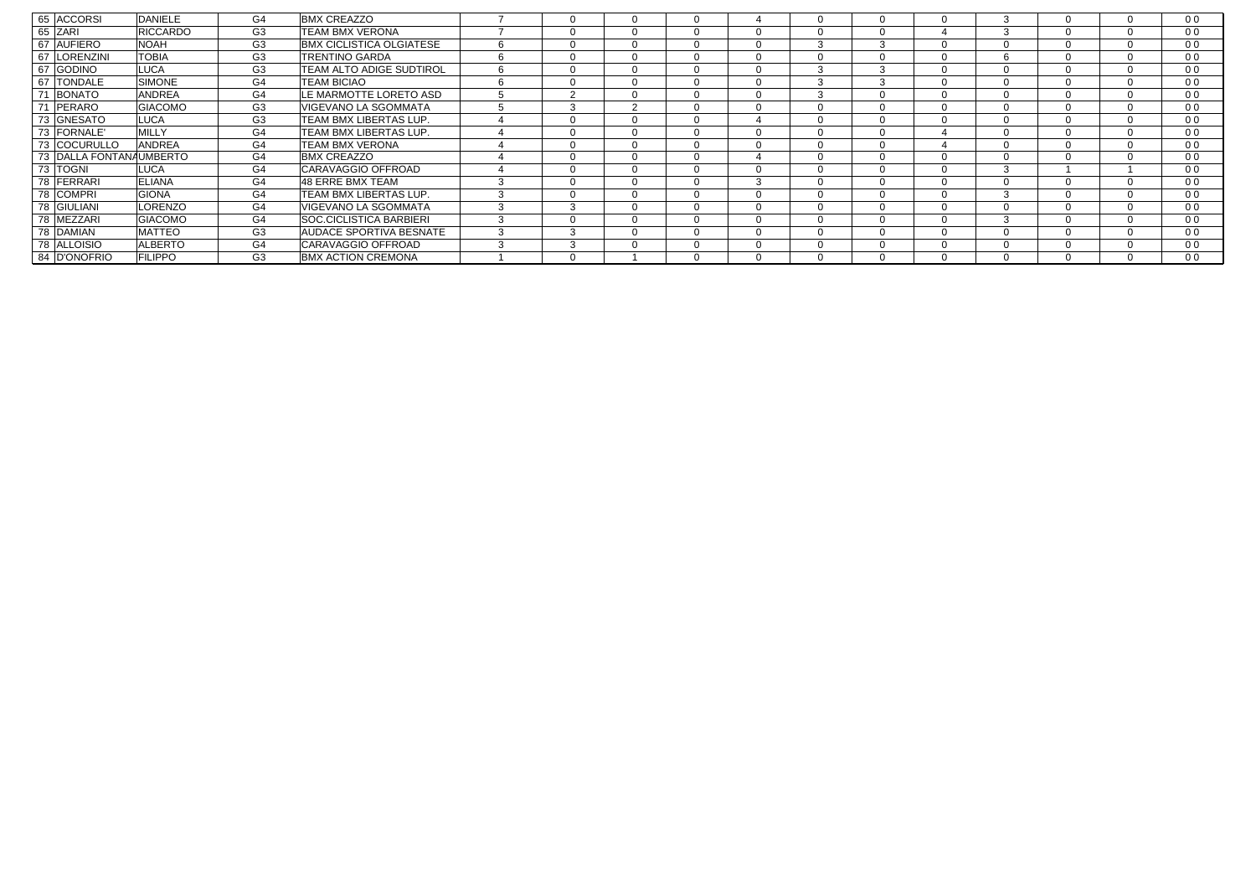| 65 ACCORSI              | <b>DANIELE</b>  | G4             | <b>BMX CREAZZO</b>              |        |   | $\Omega$ |              |        |              |          | $\Omega$ |          |          | 0 <sub>0</sub> |
|-------------------------|-----------------|----------------|---------------------------------|--------|---|----------|--------------|--------|--------------|----------|----------|----------|----------|----------------|
| 65<br>ZARI              | <b>RICCARDO</b> | G <sub>3</sub> | <b>TEAM BMX VERONA</b>          |        |   | $\Omega$ |              |        |              | $\Omega$ |          | 3        |          | 0 <sub>0</sub> |
| 67<br><b>AUFIERO</b>    | <b>NOAH</b>     | G <sub>3</sub> | <b>BMX CICLISTICA OLGIATESE</b> | 6      |   | $\Omega$ |              |        | 3            | 3        | $\Omega$ | $\Omega$ | $\Omega$ | 0 <sub>0</sub> |
| 67<br><b>LORENZINI</b>  | <b>TOBIA</b>    | G <sub>3</sub> | <b>TRENTINO GARDA</b>           | 6      |   | $\Omega$ |              |        |              | $\Omega$ | $\Omega$ | h        | $\Omega$ | 0 <sub>0</sub> |
| 67<br><b>GODINO</b>     | <b>LUCA</b>     | G <sub>3</sub> | <b>TEAM ALTO ADIGE SUDTIROL</b> | 6      |   | $\Omega$ |              |        | $\sim$       | $\sim$   | $\Omega$ | $\Omega$ |          | 0 <sub>0</sub> |
| 67<br><b>TONDALE</b>    | <b>SIMONE</b>   | G4             | <b>TEAM BICIAO</b>              | 6      |   | $\Omega$ |              |        | $\sqrt{2}$   | 3        | $\Omega$ | $\Omega$ |          | 0 <sub>0</sub> |
| 71<br><b>BONATO</b>     | <b>ANDREA</b>   | G4             | LE MARMOTTE LORETO ASD          | 5      |   | $\Omega$ |              |        | $\sim$<br>-5 | $\Omega$ | $\Omega$ | $\Omega$ | $\Omega$ | 0 <sub>0</sub> |
| 71<br><b>PERARO</b>     | <b>GIACOMO</b>  | G <sub>3</sub> | VIGEVANO LA SGOMMATA            | 5      | ٩ | ົ        |              |        |              | $\Omega$ | $\Omega$ | $\Omega$ |          | 0 <sub>0</sub> |
| 73 GNESATO              | <b>LUCA</b>     | G <sub>3</sub> | TEAM BMX LIBERTAS LUP.          |        |   | $\Omega$ |              |        |              |          | $\Omega$ | $\Omega$ |          | 0 <sub>0</sub> |
| 73 FORNALE'             | <b>MILLY</b>    | G4             | TEAM BMX LIBERTAS LUP.          |        |   | $\Omega$ |              |        |              | $\Omega$ | 4        | $\Omega$ | $\Omega$ | 0 <sub>0</sub> |
| 73 COCURULLO            | <b>ANDREA</b>   | G4             | <b>TEAM BMX VERONA</b>          |        |   | $\Omega$ |              |        |              |          |          | $\Omega$ |          | 0 <sub>0</sub> |
| 73 DALLA FONTANAUMBERTO |                 | G4             | <b>BMX CREAZZO</b>              |        |   | $\Omega$ |              |        |              | $\Omega$ | $\Omega$ | $\Omega$ |          | 0 <sub>0</sub> |
| 73 TOGNI                | <b>LUCA</b>     | G4             | CARAVAGGIO OFFROAD              |        |   | $\Omega$ |              |        |              | $\Omega$ | $\Omega$ | 3        |          | 0 <sub>0</sub> |
| 78 FERRARI              | <b>ELIANA</b>   | G4             | 48 ERRE BMX TEAM                | $\sim$ |   | $\Omega$ |              | $\sim$ |              | $\Omega$ | $\Omega$ |          |          | 0 <sub>0</sub> |
| 78 COMPRI               | <b>GIONA</b>    | G4             | TEAM BMX LIBERTAS LUP.          | 3      |   | $\Omega$ |              |        |              | $\Omega$ | $\Omega$ | 3        |          | 0 <sub>0</sub> |
| 78 GIULIANI             | LORENZO         | G4             | VIGEVANO LA SGOMMATA            | 3      |   | $\Omega$ | $\mathbf{U}$ |        | υ            | $\Omega$ | $\Omega$ | $\Omega$ | $\Omega$ | 0 <sub>0</sub> |
| 78 MEZZARI              | <b>GIACOMO</b>  | G <sub>4</sub> | <b>SOC.CICLISTICA BARBIERI</b>  | 3      |   | $\Omega$ |              |        |              |          | $\Omega$ |          |          | 0 <sub>0</sub> |
| 78 DAMIAN               | <b>MATTEO</b>   | G <sub>3</sub> | <b>AUDACE SPORTIVA BESNATE</b>  | 3      |   | $\Omega$ |              |        |              | $\Omega$ | $\Omega$ |          |          | 0 <sub>0</sub> |
| 78<br>ALLOISIO          | <b>ALBERTO</b>  | G4             | CARAVAGGIO OFFROAD              | $\sim$ |   | $\Omega$ |              |        |              |          | $\Omega$ | $\Omega$ |          | 0 <sub>0</sub> |
| 84 D'ONOFRIO            | <b>FILIPPO</b>  | G <sub>3</sub> | <b>BMX ACTION CREMONA</b>       |        |   |          |              |        |              |          | $\Omega$ |          |          | 0 <sub>0</sub> |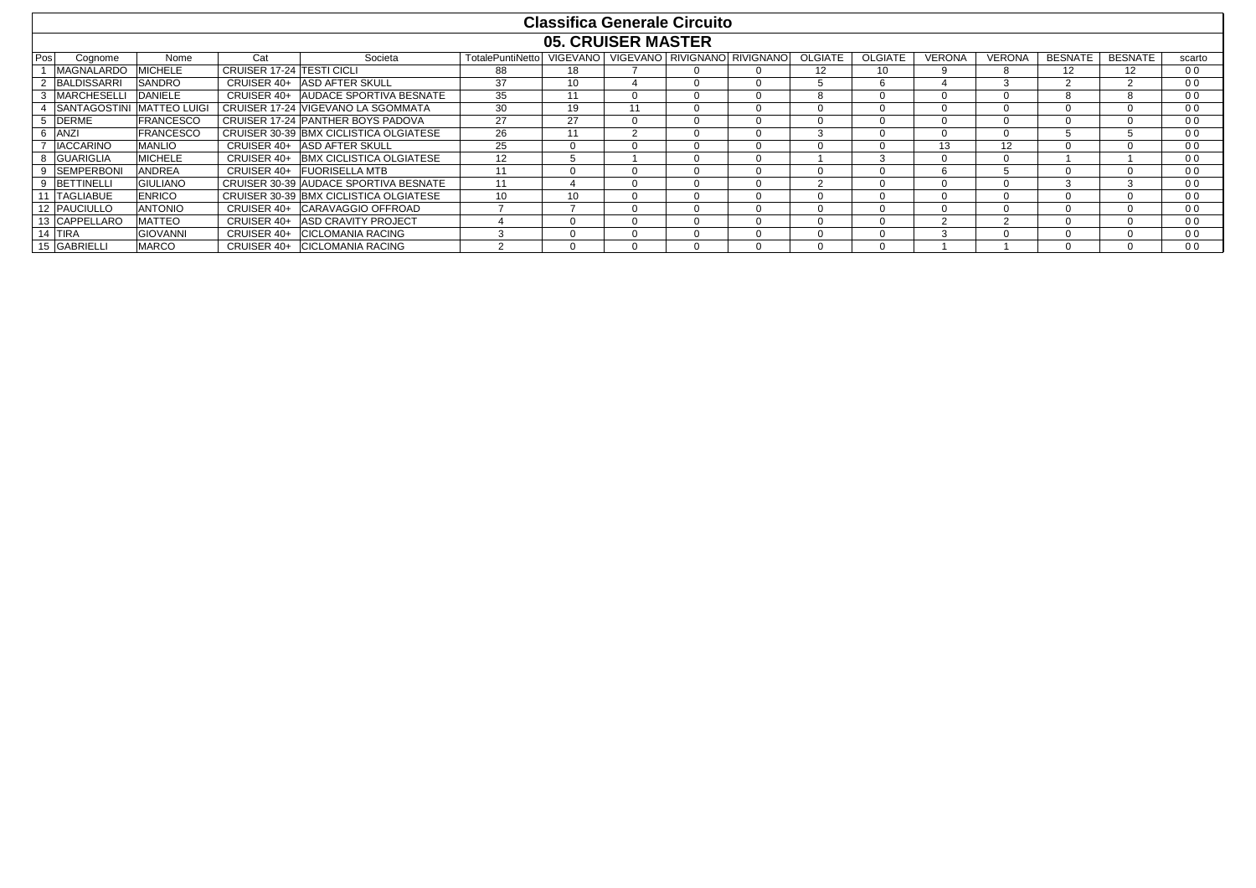|     |                     |                     |                                  |                                        |                  | <b>Classifica Generale Circuito</b> |        |                              |         |                |               |               |                |                |                |
|-----|---------------------|---------------------|----------------------------------|----------------------------------------|------------------|-------------------------------------|--------|------------------------------|---------|----------------|---------------|---------------|----------------|----------------|----------------|
|     |                     |                     |                                  |                                        |                  | <b>05. CRUISER MASTER</b>           |        |                              |         |                |               |               |                |                |                |
| Pos | Coanome             | Nome                | Cat                              | Societa                                | TotalePuntiNetto | <b>VIGEVANO</b>                     |        | VIGEVANO RIVIGNANO RIVIGNANO | OLGIATE | <b>OLGIATE</b> | <b>VERONA</b> | <b>VERONA</b> | <b>BESNATE</b> | <b>BESNATE</b> | scarto         |
|     | <b>MAGNALARDO</b>   | <b>MICHELE</b>      | <b>CRUISER 17-24 TESTI CICLI</b> |                                        | 88               | 18                                  |        | $\Omega$                     | 12      | 10             |               | 8             | 12             | 12             | 0 <sub>0</sub> |
|     | <b>BALDISSARRI</b>  | <b>SANDRO</b>       |                                  | CRUISER 40+ ASD AFTER SKULL            | 37               | 10 <sup>10</sup>                    |        |                              |         | 6              |               | 3             | $\sim$         | $\sim$         | 0 <sub>0</sub> |
|     | <b>MARCHESELL</b>   | <b>DANIELE</b>      |                                  | CRUISER 40+ AUDACE SPORTIVA BESNATE    | 35               | 11                                  |        | <sup>0</sup>                 | 8       | $\Omega$       |               | $\Omega$      |                |                | 0 <sub>0</sub> |
|     | <b>SANTAGOSTINI</b> | <b>MATTEO LUIGI</b> |                                  | CRUISER 17-24 VIGEVANO LA SGOMMATA     | 30               | 19                                  | 11     | $\Omega$                     |         | n              |               | $\Omega$      |                | $\Omega$       | 0 <sub>0</sub> |
|     | <b>DERME</b>        | <b>FRANCESCO</b>    |                                  | CRUISER 17-24 PANTHER BOYS PADOVA      | 27               | 27                                  |        | 0                            |         | $\Omega$       |               | $\Omega$      |                |                | 0 <sub>0</sub> |
|     | 6 ANZI              | <b>FRANCESCO</b>    |                                  | CRUISER 30-39 BMX CICLISTICA OLGIATESE | 26               | 11                                  | $\sim$ | $\Omega$                     |         | $\Omega$       |               | $\Omega$      |                |                | 0 <sub>0</sub> |
|     | <b>IACCARINO</b>    | <b>MANLIO</b>       |                                  | CRUISER 40+ ASD AFTER SKULL            | 25               |                                     |        | $\Omega$                     |         | $\Omega$       | 13            | 12            | $\Omega$       | $\Omega$       | 0 <sub>0</sub> |
|     | 8 GUARIGLIA         | <b>MICHELE</b>      |                                  | CRUISER 40+ BMX CICLISTICA OLGIATESE   | 12               |                                     |        | $\Omega$                     |         | 3              |               | $\Omega$      |                |                | 0 <sub>0</sub> |
|     | <b>SEMPERBONI</b>   | <b>ANDREA</b>       |                                  | CRUISER 40+ FUORISELLA MTB             | 11               |                                     |        | 0                            |         |                |               |               |                |                | 0 <sub>0</sub> |
|     | <b>BETTINELLI</b>   | <b>GIULIANO</b>     |                                  | CRUISER 30-39 AUDACE SPORTIVA BESNATE  | 11               |                                     |        | 0                            |         |                |               | $\Omega$      |                |                | 0 <sub>0</sub> |
|     | 11 TAGLIABUE        | <b>ENRICO</b>       |                                  | CRUISER 30-39 BMX CICLISTICA OLGIATESE | 10               | 10 <sup>10</sup>                    |        | $\Omega$                     |         | $\Omega$       |               | $\Omega$      |                |                | 0 <sub>0</sub> |
|     | <b>12 PAUCIULLO</b> | <b>ANTONIO</b>      |                                  | CRUISER 40+ CARAVAGGIO OFFROAD         |                  |                                     |        |                              |         | 0              |               | $\Omega$      |                |                | 0 <sub>0</sub> |
|     | 13 CAPPELLARO       | <b>MATTEO</b>       |                                  | CRUISER 40+ ASD CRAVITY PROJECT        |                  |                                     |        | <sup>0</sup>                 |         | $\Omega$       | ົ             | $\Omega$      |                | $\Omega$       | 0 <sub>0</sub> |
|     | 14 TIRA             | <b>GIOVANNI</b>     |                                  | CRUISER 40+ CICLOMANIA RACING          |                  |                                     |        |                              |         |                | $\sim$        | $\Omega$      |                | $\Omega$       | 0 <sub>0</sub> |
|     | 15 GABRIELLI        | <b>MARCO</b>        |                                  | CRUISER 40+ CICLOMANIA RACING          |                  |                                     |        | 0                            |         | <sup>n</sup>   |               |               |                |                | 0 <sub>0</sub> |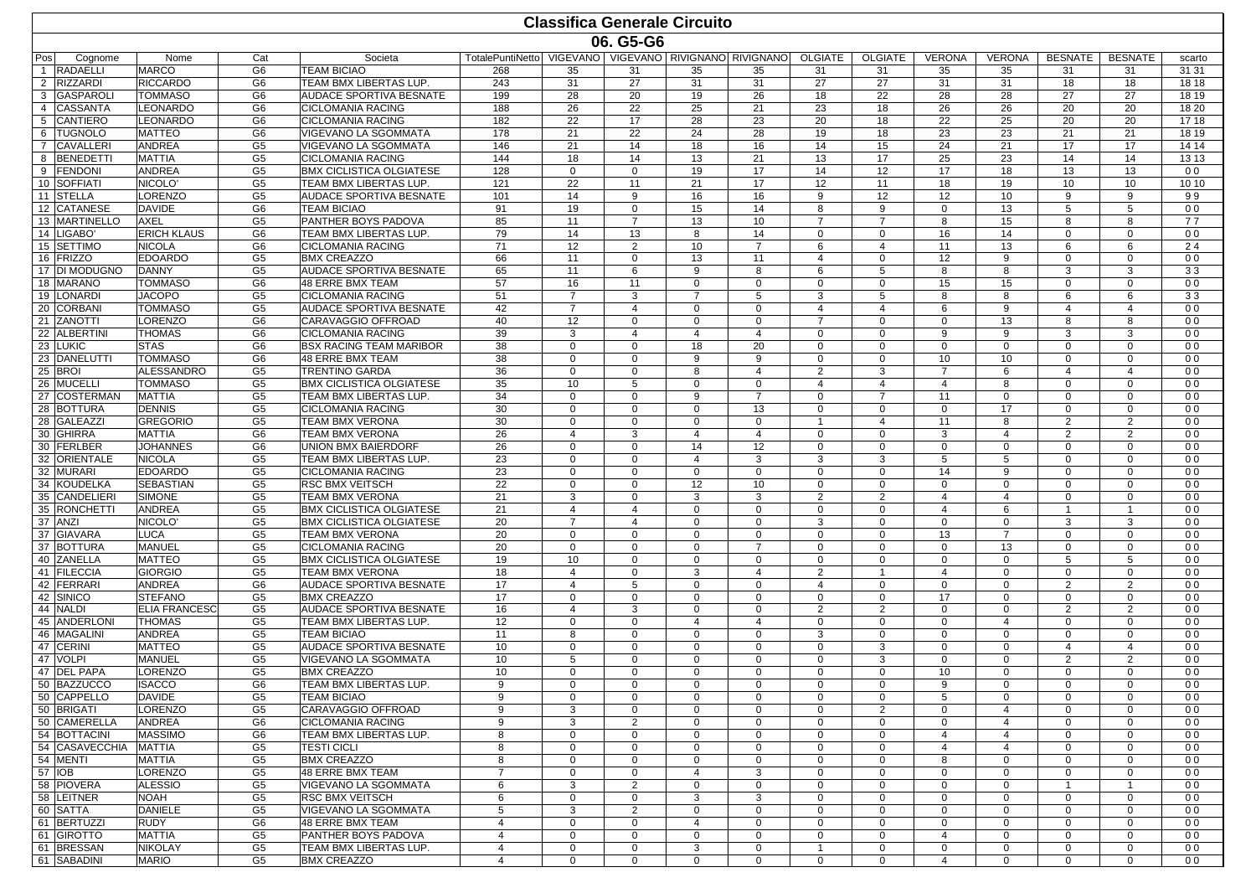|                |                                   |                                     |                                  |                                                             |                                                                |                   |                                | <b>Classifica Generale Circuito</b> |                            |                            |                               |                            |                            |                             |                                  |                                  |
|----------------|-----------------------------------|-------------------------------------|----------------------------------|-------------------------------------------------------------|----------------------------------------------------------------|-------------------|--------------------------------|-------------------------------------|----------------------------|----------------------------|-------------------------------|----------------------------|----------------------------|-----------------------------|----------------------------------|----------------------------------|
|                |                                   |                                     |                                  |                                                             |                                                                |                   | 06. G5-G6                      |                                     |                            |                            |                               |                            |                            |                             |                                  |                                  |
| Pos            | Cognome                           | Nome                                | Cat                              | Societa                                                     | TotalePuntiNetto   VIGEVANO   VIGEVANO   RIVIGNANO   RIVIGNANO |                   |                                |                                     |                            | <b>OLGIATE</b>             | <b>OLGIATE</b>                | <b>VERONA</b>              | <b>VERONA</b>              | <b>BESNATE</b>              | <b>BESNATE</b>                   | scarto                           |
|                | <b>RADAELLI</b>                   | <b>MARCO</b>                        | G <sub>6</sub>                   | <b>TEAM BICIAO</b>                                          | 268                                                            | 35                | 31                             | 35                                  | 35                         | 31                         | 31                            | 35                         | 35                         | 31                          | 31                               | 31 31                            |
| $\overline{2}$ | <b>RIZZARDI</b>                   | <b>RICCARDO</b>                     | G <sub>6</sub>                   | TEAM BMX LIBERTAS LUP.                                      | 243                                                            | 31                | 27                             | 31                                  | 31                         | 27                         | 27                            | 31                         | 31                         | 18                          | 18                               | 18 18                            |
| 3              | <b>GASPAROLI</b>                  | <b>TOMMASO</b>                      | G <sub>6</sub>                   | AUDACE SPORTIVA BESNATE                                     | 199                                                            | 28                | 20                             | 19                                  | 26                         | 18                         | 22                            | 28                         | 28                         | 27                          | 27                               | 18 19                            |
| $\overline{4}$ | <b>CASSANTA</b>                   | LEONARDO                            | G <sub>6</sub>                   | <b>CICLOMANIA RACING</b>                                    | 188                                                            | 26                | 22                             | 25                                  | 21                         | 23                         | 18                            | 26                         | 26                         | 20                          | 20                               | 18 20                            |
| 5<br>6         | <b>CANTIERO</b><br><b>TUGNOLO</b> | LEONARDO<br><b>MATTEO</b>           | G <sub>6</sub><br>G <sub>6</sub> | <b>CICLOMANIA RACING</b>                                    | 182<br>178                                                     | 22<br>21          | 17<br>22                       | 28<br>24                            | 23<br>28                   | 20<br>19                   | 18                            | 22<br>23                   | 25<br>23                   | 20<br>21                    | 20<br>21                         | 17 18                            |
| $\overline{7}$ | <b>CAVALLERI</b>                  | <b>ANDREA</b>                       | G <sub>5</sub>                   | VIGEVANO LA SGOMMATA<br>VIGEVANO LA SGOMMATA                | 146                                                            | 21                | 14                             | 18                                  | 16                         | 14                         | 18<br>15                      | 24                         | 21                         | 17                          | 17                               | 18 19<br>14 14                   |
| 8              | <b>BENEDETTI</b>                  | <b>MATTIA</b>                       | G <sub>5</sub>                   | <b>CICLOMANIA RACING</b>                                    | 144                                                            | 18                | 14                             | 13                                  | 21                         | 13                         | 17                            | 25                         | 23                         | 14                          | 14                               | 13 13                            |
|                | 9 FENDONI                         | <b>ANDREA</b>                       | G <sub>5</sub>                   | <b>BMX CICLISTICA OLGIATESE</b>                             | 128                                                            | $\mathbf 0$       | $\mathbf{0}$                   | 19                                  | 17                         | 14                         | 12                            | 17                         | 18                         | 13                          | 13                               | 0 <sub>0</sub>                   |
|                | 10 SOFFIATI                       | NICOLO'                             | G <sub>5</sub>                   | TEAM BMX LIBERTAS LUP.                                      | 121                                                            | 22                | 11                             | 21                                  | 17                         | 12                         | 11                            | 18                         | 19                         | 10                          | 10                               | 10 10                            |
|                | 11 STELLA                         | LORENZO                             | G <sub>5</sub>                   | AUDACE SPORTIVA BESNATE                                     | 101                                                            | 14                | 9                              | 16                                  | 16                         | 9                          | 12                            | 12                         | 10                         | 9                           | 9                                | 99                               |
|                | 12 CATANESE                       | <b>DAVIDE</b>                       | G <sub>6</sub>                   | <b>TEAM BICIAO</b>                                          | 91                                                             | 19                | $\mathbf{0}$                   | 15                                  | 14                         | 8                          | 9                             | $\mathbf{0}$               | 13                         | 5                           | 5                                | 0 <sub>0</sub>                   |
|                | 13 MARTINELLO                     | <b>AXEL</b>                         | G <sub>5</sub>                   | PANTHER BOYS PADOVA                                         | 85                                                             | 11                | $\overline{7}$                 | 13                                  | 10                         | $\overline{7}$             | $\overline{7}$                | 8                          | 15                         | 8                           | 8                                | 77                               |
|                | 14 LIGABO<br>15 SETTIMO           | <b>ERICH KLAUS</b><br><b>NICOLA</b> | G <sub>6</sub><br>G <sub>6</sub> | TEAM BMX LIBERTAS LUP.<br><b>CICLOMANIA RACING</b>          | 79<br>71                                                       | 14<br>12          | 13<br>$\overline{2}$           | 8<br>10                             | 14<br>$\overline{7}$       | 0<br>6                     | $\mathbf 0$<br>$\overline{4}$ | 16<br>11                   | 14<br>13                   | $\Omega$<br>6               | $\Omega$<br>6                    | 0 <sub>0</sub><br>24             |
|                | 16 FRIZZO                         | <b>EDOARDO</b>                      | G <sub>5</sub>                   | <b>BMX CREAZZO</b>                                          | 66                                                             | 11                | $\mathbf{0}$                   | 13                                  | 11                         | 4                          | $\mathbf 0$                   | 12                         | 9                          | $\Omega$                    | $\mathbf 0$                      | 0 <sub>0</sub>                   |
|                | 17 DI MODUGNO                     | <b>DANNY</b>                        | G <sub>5</sub>                   | AUDACE SPORTIVA BESNATE                                     | 65                                                             | 11                | 6                              | 9                                   | 8                          | 6                          | 5                             | 8                          | 8                          | 3                           | 3                                | 33                               |
|                | 18 MARANO                         | TOMMASO                             | G <sub>6</sub>                   | 48 ERRE BMX TEAM                                            | 57                                                             | 16                | 11                             | $\mathbf 0$                         | $\mathbf 0$                | $\mathbf 0$                | $\mathbf 0$                   | 15                         | 15                         | $\mathbf 0$                 | $\mathbf{0}$                     | 0 <sub>0</sub>                   |
|                | 19 LONARDI                        | <b>JACOPO</b>                       | G <sub>5</sub>                   | <b>CICLOMANIA RACING</b>                                    | 51                                                             | $\overline{7}$    | 3                              | $\overline{7}$                      | 5                          | 3                          | 5                             | 8                          | 8                          | 6                           | 6                                | 33                               |
|                | 20 CORBANI                        | TOMMASO                             | G <sub>5</sub>                   | AUDACE SPORTIVA BESNATE                                     | 42                                                             | $\overline{7}$    | $\overline{4}$                 | 0                                   | $\Omega$                   | 4                          | 4                             | 6                          | 9                          | 4                           | 4                                | 0 <sub>0</sub>                   |
|                | 21 ZANOTTI                        | LORENZO                             | G <sub>6</sub>                   | CARAVAGGIO OFFROAD                                          | 40                                                             | 12                | $\mathbf{0}$                   | $\mathbf 0$                         | $\mathbf 0$                | $\overline{7}$             | $\mathbf{0}$                  | $\mathbf 0$                | 13                         | 8                           | 8                                | 0 <sub>0</sub>                   |
|                | 22 ALBERTINI<br>23 LUKIC          | <b>THOMAS</b>                       | G <sub>6</sub><br>G <sub>6</sub> | <b>CICLOMANIA RACING</b>                                    | 39<br>38                                                       | 3<br>$\mathbf 0$  | $\overline{4}$<br>$\mathbf{0}$ | $\overline{4}$                      | $\overline{4}$<br>20       | $\mathbf 0$<br>$\mathbf 0$ | $\mathbf 0$<br>$\mathbf{0}$   | 9<br>$\mathbf 0$           | 9                          | 3<br>$\Omega$               | 3<br>$\mathbf{0}$                | 0 <sub>0</sub>                   |
|                | 23 DANELUTTI                      | <b>STAS</b><br><b>TOMMASO</b>       | G <sub>6</sub>                   | <b>BSX RACING TEAM MARIBOR</b><br><b>48 ERRE BMX TEAM</b>   | 38                                                             | $\mathbf 0$       | $\Omega$                       | 18<br>9                             | 9                          | 0                          | $\mathbf 0$                   | 10                         | $\mathbf 0$<br>10          | $\Omega$                    | $\mathbf{0}$                     | 0 <sub>0</sub><br>0 <sub>0</sub> |
|                | 25 BROI                           | <b>ALESSANDRO</b>                   | G <sub>5</sub>                   | <b>TRENTINO GARDA</b>                                       | 36                                                             | $\Omega$          | $\Omega$                       | 8                                   | $\overline{4}$             | 2                          | 3                             | $\overline{7}$             | 6                          | 4                           | $\overline{4}$                   | 0 <sub>0</sub>                   |
|                | 26 MUCELLI                        | <b>TOMMASO</b>                      | G <sub>5</sub>                   | <b>BMX CICLISTICA OLGIATESE</b>                             | 35                                                             | 10                | 5                              | $\mathbf 0$                         | $\mathbf 0$                | $\overline{4}$             | $\overline{4}$                | $\overline{4}$             | 8                          | $\Omega$                    | $\mathbf 0$                      | 0 <sub>0</sub>                   |
|                | 27 COSTERMAN                      | <b>MATTIA</b>                       | G <sub>5</sub>                   | TEAM BMX LIBERTAS LUP.                                      | 34                                                             | $\mathbf 0$       | $\mathbf 0$                    | 9                                   | $\overline{7}$             | $\mathbf 0$                | $\overline{7}$                | 11                         | $\mathbf 0$                | $\Omega$                    | $\mathbf{0}$                     | 0 <sub>0</sub>                   |
|                | 28 BOTTURA                        | <b>DENNIS</b>                       | G <sub>5</sub>                   | <b>CICLOMANIA RACING</b>                                    | 30                                                             | $\mathbf 0$       | $\mathbf{0}$                   | $\mathbf 0$                         | 13                         | $\mathbf 0$                | $\mathbf 0$                   | $\mathbf 0$                | 17                         | $\Omega$                    | $\mathbf{0}$                     | 0 <sub>0</sub>                   |
|                | 28 GALEAZZI                       | <b>GREGORIO</b>                     | G <sub>5</sub>                   | <b>TEAM BMX VERONA</b>                                      | 30                                                             | $\mathbf 0$       | $\mathbf 0$                    | 0                                   | $\mathbf 0$                | $\overline{1}$             | $\overline{4}$                | 11                         | 8                          | $\overline{2}$              | 2                                | 0 <sub>0</sub>                   |
|                | 30 GHIRRA                         | MATTIA                              | G <sub>6</sub>                   | <b>TEAM BMX VERONA</b>                                      | 26                                                             | 4                 | 3                              | 4                                   | $\overline{4}$             | $\mathbf 0$                | $\mathbf 0$                   | 3                          | $\overline{4}$             | $\overline{2}$              | $\overline{2}$                   | 0 <sub>0</sub>                   |
|                | 30 FERLBER<br>32 ORIENTALE        | <b>JOHANNES</b><br><b>NICOLA</b>    | G <sub>6</sub><br>G <sub>5</sub> | UNION BMX BAIERDORF<br>TEAM BMX LIBERTAS LUP.               | 26<br>23                                                       | $\mathbf 0$<br>0  | $\Omega$<br>$\mathbf{0}$       | 14<br>4                             | 12<br>3                    | $\mathbf 0$<br>3           | $\mathbf 0$<br>3              | $\mathbf 0$<br>5           | $\mathbf 0$<br>5           | $\mathbf 0$<br>$\Omega$     | $\mathbf{0}$<br>$\mathbf{0}$     | 0 <sub>0</sub><br>0 <sub>0</sub> |
|                | 32 MURARI                         | <b>EDOARDO</b>                      | G5                               | <b>CICLOMANIA RACING</b>                                    | 23                                                             | $\mathbf 0$       | $\mathbf 0$                    | $\mathbf 0$                         | $\mathbf 0$                | $\mathbf 0$                | $\mathbf 0$                   | 14                         | 9                          | $\Omega$                    | $\mathbf{0}$                     | 0 <sub>0</sub>                   |
|                | 34 KOUDELKA                       | <b>SEBASTIAN</b>                    | G <sub>5</sub>                   | <b>RSC BMX VEITSCH</b>                                      | 22                                                             | $\mathbf 0$       | $\Omega$                       | 12                                  | 10                         | 0                          | 0                             | $\mathbf 0$                | $\mathbf 0$                | $\Omega$                    | $\Omega$                         | 0 <sub>0</sub>                   |
|                | 35 CANDELIERI                     | <b>SIMONE</b>                       | G <sub>5</sub>                   | <b>TEAM BMX VERONA</b>                                      | 21                                                             | 3                 | $\Omega$                       | 3                                   | 3                          | $\overline{c}$             | $\overline{2}$                | 4                          | $\overline{4}$             | $\Omega$                    | $\Omega$                         | 0 <sub>0</sub>                   |
|                | 35 RONCHETTI                      | <b>ANDREA</b>                       | G <sub>5</sub>                   | <b>BMX CICLISTICA OLGIATESE</b>                             | 21                                                             | $\overline{4}$    | $\overline{4}$                 | $\mathbf 0$                         | $\Omega$                   | $\mathbf 0$                | $\mathbf 0$                   | $\overline{4}$             | 6                          | $\overline{1}$              | $\overline{1}$                   | 0 <sub>0</sub>                   |
|                | 37 ANZI                           | NICOLO'                             | G <sub>5</sub>                   | <b>BMX CICLISTICA OLGIATESE</b>                             | 20                                                             | $\overline{7}$    | $\overline{4}$                 | 0                                   | $\mathbf 0$                | 3                          | $\mathbf 0$                   | $\mathbf 0$                | $\mathbf 0$                | 3                           | 3                                | 0 <sub>0</sub>                   |
|                | 37 GIAVARA                        | LUCA                                | G5                               | <b>TEAM BMX VERONA</b>                                      | 20                                                             | $\mathbf 0$       | $\mathbf{0}$                   | $\mathbf 0$                         | $\mathbf 0$                | $\mathbf 0$                | $\mathbf 0$                   | 13                         | $\overline{7}$             | $\mathbf 0$                 | $\mathbf{0}$                     | 0 <sub>0</sub>                   |
|                | 37 BOTTURA<br>40 ZANELLA          | MANUEL<br><b>MATTEO</b>             | G <sub>5</sub><br>G <sub>5</sub> | <b>CICLOMANIA RACING</b><br><b>BMX CICLISTICA OLGIATESE</b> | 20<br>19                                                       | $\mathbf 0$<br>10 | $\Omega$<br>$\Omega$           | $\Omega$<br>$\Omega$                | $\overline{7}$<br>$\Omega$ | 0<br>$\Omega$              | $\mathbf 0$<br>$\mathbf 0$    | $\mathbf 0$<br>$\mathbf 0$ | 13<br>$\Omega$             | $\Omega$<br>5               | $\mathbf 0$<br>5                 | 0 <sub>0</sub><br>0 <sub>0</sub> |
|                | 41 FILECCIA                       | <b>GIORGIO</b>                      | G <sub>5</sub>                   | <b>TEAM BMX VERONA</b>                                      | 18                                                             | $\overline{4}$    | $\mathbf{0}$                   | 3                                   | $\overline{4}$             | $\overline{2}$             | $\overline{1}$                | $\overline{4}$             | $\mathbf 0$                | $\Omega$                    | $\mathbf{0}$                     | 0 <sub>0</sub>                   |
|                | 42 FERRARI                        | <b>ANDREA</b>                       | G <sub>6</sub>                   | <b>AUDACE SPORTIVA BESNATE</b>                              | 17                                                             | $\overline{4}$    | 5                              | 0                                   | $\mathbf 0$                | 4                          | $\mathbf 0$                   | $\mathbf 0$                | $\mathbf 0$                | $\overline{2}$              | $\overline{2}$                   | 0 <sub>0</sub>                   |
|                | 42 SINICO                         | <b>STEFANO</b>                      | G <sub>5</sub>                   | <b>BMX CREAZZO</b>                                          | 17                                                             | $\mathbf 0$       | $\mathbf{0}$                   | $\mathbf 0$                         | $\mathbf 0$                | $\mathbf 0$                | $\mathbf{0}$                  | 17                         | $\mathbf 0$                | $\mathbf 0$                 | $\mathbf{0}$                     | 0 <sub>0</sub>                   |
|                | 44 NALDI                          | <b>ELIA FRANCESC</b>                | G5                               | <b>AUDACE SPORTIVA BESNATE</b>                              | 16                                                             | 4                 | 3                              | 0                                   | 0                          | 2                          | $\overline{2}$                | $\mathbf 0$                | 0                          | 2                           | $\overline{2}$                   | 0 <sub>0</sub>                   |
|                | 45 ANDERLONI                      | THOMAS                              | G <sub>5</sub>                   | TEAM BMX LIBERTAS LUP.                                      | 12                                                             | $\Omega$          | $\Omega$                       | 4                                   | $\overline{4}$             | $\mathbf 0$                | $\mathbf{0}$                  | $\mathbf 0$                | $\overline{4}$             | $\Omega$                    | $\Omega$                         | 0 <sub>0</sub>                   |
|                | 46 MAGALINI                       | <b>ANDREA</b>                       | G <sub>5</sub>                   | <b>TEAM BICIAO</b>                                          | 11                                                             | 8                 | $\mathbf{0}$                   | $\mathbf 0$                         | $\Omega$                   | 3                          | $\mathbf{0}$                  | $\mathbf 0$                | $\mathbf 0$                | $\mathbf 0$                 | $\mathbf{0}$                     | 0 <sub>0</sub>                   |
| 47             | <b>CERINI</b><br>47 VOLPI         | <b>MATTEO</b><br>MANUEL             | G <sub>5</sub><br>G <sub>5</sub> | <b>AUDACE SPORTIVA BESNATE</b><br>VIGEVANO LA SGOMMATA      | 10<br>10                                                       | 0<br>5            | $\mathbf 0$<br>$\mathbf 0$     | 0<br>0                              | $\mathbf 0$<br>$\mathbf 0$ | $\mathbf 0$<br>$\mathbf 0$ | 3<br>3                        | $\mathbf 0$<br>$\mathbf 0$ | $\mathbf 0$<br>$\mathbf 0$ | 4<br>$\overline{2}$         | $\overline{4}$<br>$\overline{2}$ | 0 <sub>0</sub><br>0 <sub>0</sub> |
|                | 47 DEL PAPA                       | LORENZO                             | G5                               | <b>BMX CREAZZO</b>                                          | 10                                                             | 0                 | $\mathbf{0}$                   | 0                                   | $\mathbf 0$                | $\mathbf{0}$               | $\mathbf{0}$                  | 10                         | $\mathbf 0$                | $\mathbf{0}$                | 0                                | 0 <sub>0</sub>                   |
|                | 50 BAZZUCCO                       | <b>ISACCO</b>                       | G6                               | TEAM BMX LIBERTAS LUP.                                      | 9                                                              | 0                 | 0                              | $\mathbf{0}$                        | 0                          | $\mathbf 0$                | $\mathbf{0}$                  | 9                          | $\mathbf 0$                | 0                           | $\mathbf{0}$                     | 00                               |
|                | 50 CAPPELLO                       | <b>DAVIDE</b>                       | G <sub>5</sub>                   | <b>TEAM BICIAO</b>                                          | 9                                                              | $\mathbf 0$       | $\mathbf{0}$                   | $\mathbf 0$                         | $\mathbf 0$                | $\mathbf 0$                | $\mathbf 0$                   | 5                          | $\mathbf 0$                | $\mathbf 0$                 | $\mathbf{0}$                     | 0 <sub>0</sub>                   |
|                | 50 BRIGATI                        | LORENZO                             | G <sub>5</sub>                   | CARAVAGGIO OFFROAD                                          | 9                                                              | 3                 | $\mathbf 0$                    | $\mathbf{0}$                        | $\mathbf 0$                | $\mathbf{0}$               | 2                             | $\mathbf 0$                | $\overline{4}$             | $\mathbf{0}$                | $\mathbf{0}$                     | 0 <sub>0</sub>                   |
|                | 50 CAMERELLA                      | <b>ANDREA</b>                       | G <sub>6</sub>                   | <b>CICLOMANIA RACING</b>                                    | 9                                                              | 3                 | $\overline{2}$                 | 0                                   | $\mathbf 0$                | 0                          | 0                             | $\mathbf 0$                | $\overline{4}$             | $\mathbf{0}$                | $\mathbf{0}$                     | 0 <sub>0</sub>                   |
|                | 54 BOTTACINI                      | <b>MASSIMO</b>                      | G6                               | TEAM BMX LIBERTAS LUP.                                      | 8                                                              | $\mathbf 0$       | $\mathbf{0}$                   | 0                                   | 0                          | 0                          | 0                             | 4                          | $\overline{4}$             | $\mathbf{0}$                | $\mathbf 0$                      | 0 <sub>0</sub>                   |
|                | 54 CASAVECCHIA<br>54 MENTI        | <b>MATTIA</b>                       | G <sub>5</sub>                   | <b>TESTI CICLI</b>                                          | 8                                                              | $\Omega$          | $\Omega$                       | $\Omega$                            | $\mathbf 0$                | $\mathbf 0$                | 0                             | 4                          | $\overline{4}$             | $\Omega$                    | $\mathbf{0}$                     | 0 <sub>0</sub>                   |
|                | 57 IOB                            | <b>MATTIA</b><br>LORENZO            | G5<br>G <sub>5</sub>             | <b>BMX CREAZZO</b><br>48 ERRE BMX TEAM                      | 8<br>$\overline{7}$                                            | $\mathbf 0$<br>0  | $\mathbf{0}$<br>$\mathbf{0}$   | $\mathbf 0$<br>4                    | $\mathbf 0$<br>3           | $\mathbf 0$<br>$\mathbf 0$ | $\mathbf 0$<br>$\mathbf{0}$   | 8<br>$\mathbf{0}$          | $\mathbf 0$<br>$\mathbf 0$ | $\mathbf 0$<br>$\mathbf{0}$ | $\mathbf{0}$<br>$\mathbf 0$      | 0 <sub>0</sub><br>0 <sub>0</sub> |
|                | 58 PIOVERA                        | ALESSIO                             | G <sub>5</sub>                   | VIGEVANO LA SGOMMATA                                        | 6                                                              | 3                 | $\overline{2}$                 | 0                                   | 0                          | 0                          | 0                             | $\mathbf 0$                | $\mathbf 0$                | $\mathbf{1}$                | $\mathbf{1}$                     | 0 <sub>0</sub>                   |
|                | 58 LEITNER                        | NOAH                                | G5                               | <b>RSC BMX VEITSCH</b>                                      | 6                                                              | 0                 | $\mathbf{0}$                   | 3                                   | 3                          | 0                          | 0                             | $\mathbf 0$                | $\mathbf 0$                | $\mathbf{0}$                | $\mathbf 0$                      | 0 <sub>0</sub>                   |
|                | 60 SATTA                          | <b>DANIELE</b>                      | G <sub>5</sub>                   | VIGEVANO LA SGOMMATA                                        | 5                                                              | 3                 | $\overline{2}$                 | 0                                   | $\Omega$                   | $\mathbf 0$                | $\mathbf 0$                   | $\mathbf 0$                | $\mathbf 0$                | $\Omega$                    | $\mathbf{0}$                     | 0 <sub>0</sub>                   |
|                | 61 BERTUZZI                       | RUDY                                | G <sub>6</sub>                   | 48 ERRE BMX TEAM                                            | $\overline{4}$                                                 | $\mathbf 0$       | $\mathbf{0}$                   | $\overline{4}$                      | $\mathbf 0$                | $\mathbf 0$                | $\mathbf 0$                   | $\mathbf 0$                | $\mathbf 0$                | $\mathbf 0$                 | $\mathbf{0}$                     | 0 <sub>0</sub>                   |
|                | 61 GIROTTO                        | MATTIA                              | G <sub>5</sub>                   | PANTHER BOYS PADOVA                                         | 4                                                              | 0                 | $\mathbf 0$                    | $\mathbf{0}$                        | 0                          | $\mathbf{0}$               | $\mathbf{0}$                  | 4                          | $\mathbf 0$                | $\mathbf{0}$                | $\mathbf 0$                      | 0 <sub>0</sub>                   |
|                | 61 BRESSAN                        | <b>NIKOLAY</b>                      | G <sub>5</sub>                   | TEAM BMX LIBERTAS LUP.                                      | 4                                                              | 0                 | $\mathbf 0$                    | 3                                   | 0                          | $\overline{1}$             | 0                             | $\mathbf 0$                | $\mathbf 0$                | $\mathbf 0$                 | $\mathbf 0$                      | 00                               |
|                | 61 SABADINI                       | <b>MARIO</b>                        | G5                               | <b>BMX CREAZZO</b>                                          | $\overline{4}$                                                 | 0                 | $\mathbf 0$                    | 0                                   | 0                          | 0                          | 0                             | 4                          | $\mathbf 0$                | $\mathbf 0$                 | $\mathbf 0$                      | 00                               |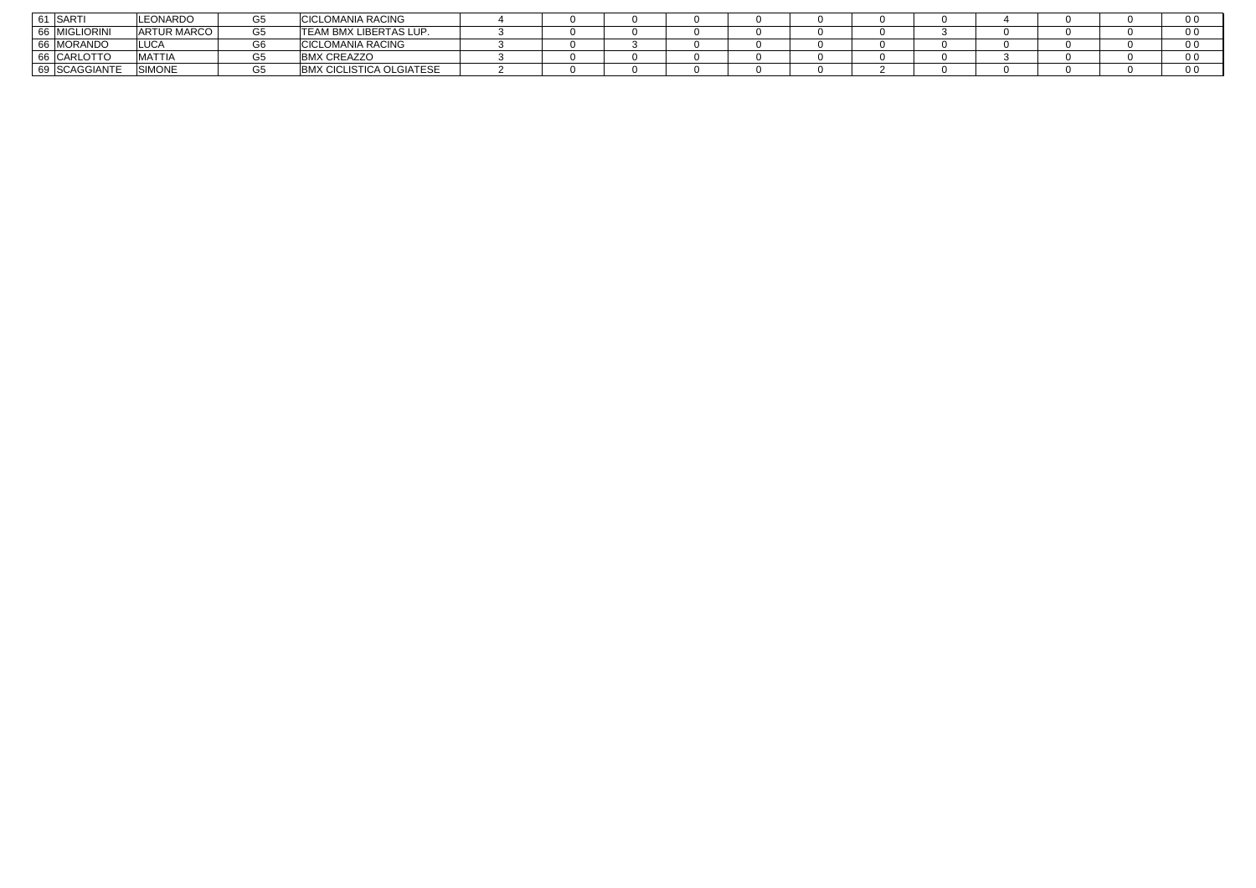| SARTI                            | <b>LEONARDO</b>    |                  | CICLOMANIA RACING                              |  |  |  |  |  | . ∪ ∪ |
|----------------------------------|--------------------|------------------|------------------------------------------------|--|--|--|--|--|-------|
| <b>MIGLIORINI</b><br>66          | <b>ARTUR MARCO</b> | $\sim$ $-$<br>G5 | <b>TEAM BMX LIBERTAS LUP.</b>                  |  |  |  |  |  | - 0 ປ |
| <b>MORANDO</b><br>6 <sub>R</sub> | <b>LUCA</b>        |                  | <b>CICLOMANIA RACING</b>                       |  |  |  |  |  |       |
| CARLOTTO<br>66                   | <b>MATTIA</b>      |                  | CREAZZO<br><b>BMX</b>                          |  |  |  |  |  | 0 U   |
| <b>SCAGGIANTE</b><br>69          | <b>SIMONE</b>      | G5               | <b>&lt; CICLISTICA OLGIATESE</b><br><b>BMX</b> |  |  |  |  |  |       |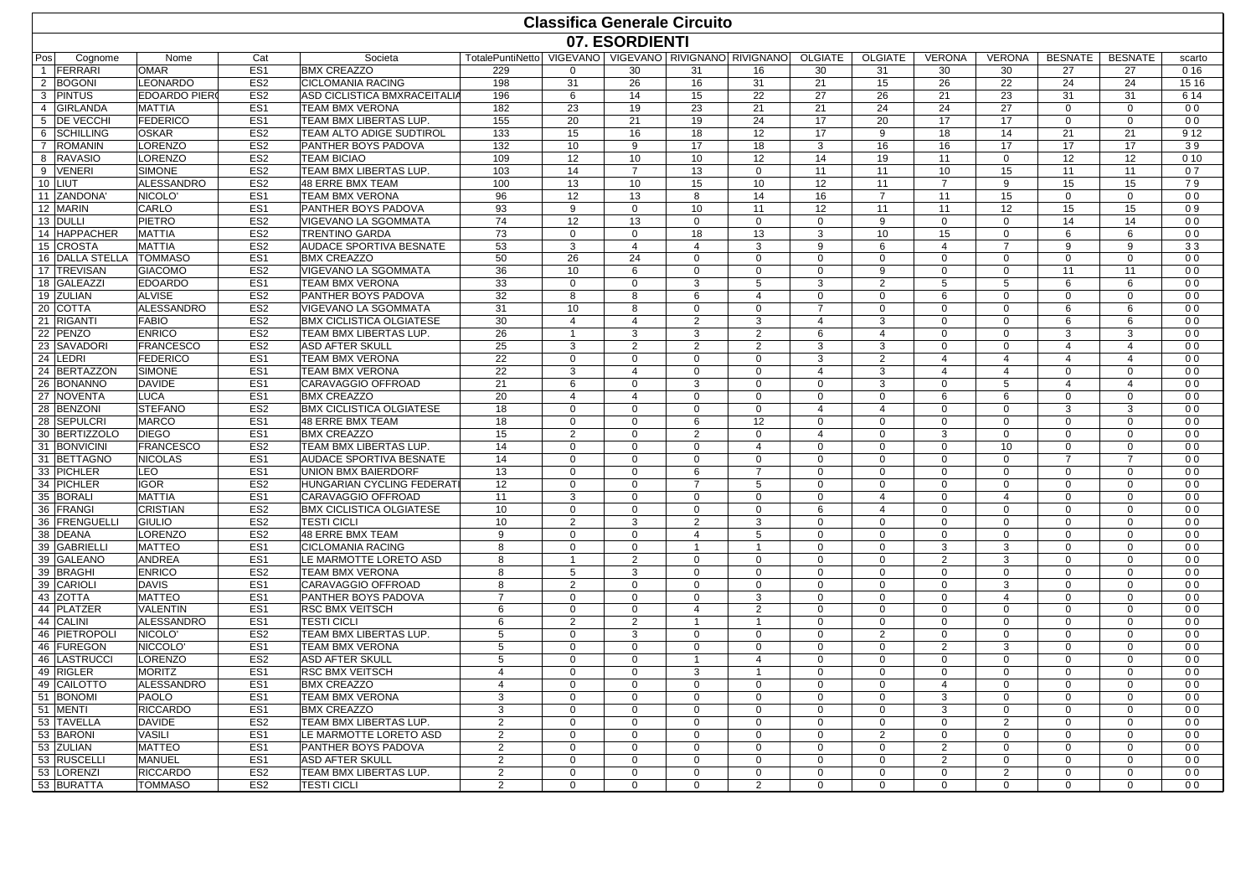|                          |                        |                                    |                                                |                                                        |                   |                   | <b>Classifica Generale Circuito</b> |                   |                         |                |                   |                         |                |                |                      |
|--------------------------|------------------------|------------------------------------|------------------------------------------------|--------------------------------------------------------|-------------------|-------------------|-------------------------------------|-------------------|-------------------------|----------------|-------------------|-------------------------|----------------|----------------|----------------------|
|                          |                        |                                    |                                                |                                                        |                   | 07. ESORDIENTI    |                                     |                   |                         |                |                   |                         |                |                |                      |
| Pos<br>Cognome           | Nome                   | Cat                                | Societa                                        | TotalePuntiNetto VIGEVANO VIGEVANO RIVIGNANO RIVIGNANO |                   |                   |                                     |                   | OLGIATE                 | <b>OLGIATE</b> | <b>VERONA</b>     | <b>VERONA</b>           | <b>BESNATE</b> | <b>BESNATE</b> | scarto               |
| FERRARI                  | <b>OMAR</b>            | ES <sub>1</sub>                    | <b>BMX CREAZZO</b>                             | 229                                                    | $\Omega$          | 30                | 31                                  | 16                | 30                      | 31             | 30                | 30                      | 27             | 27             | 0 16                 |
| 2 BOGONI                 | LEONARDO               | ES <sub>2</sub>                    | <b>CICLOMANIA RACING</b>                       | 198                                                    | 31                | 26                | 16                                  | 31                | 21                      | 15             | 26                | 22                      | 24             | 24             | 15 16                |
| 3 PINTUS                 | <b>EDOARDO PIERO</b>   | ES <sub>2</sub>                    | ASD CICLISTICA BMXRACEITALIA                   | 196                                                    | 6                 | 14                | 15                                  | 22                | 27                      | 26             | 21                | 23                      | 31             | 31             | 6 14                 |
| 4 GIRLANDA               | <b>MATTIA</b>          | ES <sub>1</sub>                    | <b>TEAM BMX VERONA</b>                         | 182                                                    | 23                | 19                | 23                                  | 21                | 21                      | 24             | 24                | 27                      | $\Omega$       | $\Omega$       | 0 <sub>0</sub>       |
| 5 <b>DE VECCHI</b>       | <b>FEDERICO</b>        | ES <sub>1</sub>                    | TEAM BMX LIBERTAS LUP.                         | 155                                                    | 20                | 21                | 19                                  | 24                | 17                      | 20             | 17                | 17                      | $\mathbf 0$    | 0              | 0 <sub>0</sub>       |
| 6 SCHILLING              | <b>OSKAR</b>           | ES <sub>2</sub>                    | TEAM ALTO ADIGE SUDTIROL                       | 133                                                    | 15                | 16                | 18                                  | 12                | 17                      | 9              | 18                | 14                      | 21             | 21             | 9 1 2                |
| 7 ROMANIN                | LORENZO                | ES <sub>2</sub>                    | PANTHER BOYS PADOVA                            | 132                                                    | 10                | 9                 | 17                                  | 18                | 3                       | 16             | 16                | 17                      | 17             | 17             | 39                   |
| 8 RAVASIO                | <b>LORENZO</b>         | ES <sub>2</sub>                    | <b>TEAM BICIAO</b>                             | 109                                                    | 12                | 10 <sup>10</sup>  | 10                                  | 12                | 14                      | 19             | 11                | $\mathbf 0$             | 12             | 12             | 010                  |
| 9 VENERI                 | <b>SIMONE</b>          | ES <sub>2</sub>                    | <b>TEAM BMX LIBERTAS LUP</b>                   | 103                                                    | 14                | $\overline{7}$    | 13                                  | $\mathbf 0$       | 11                      | 11             | 10                | 15                      | 11             | 11             | 07                   |
| 10 LIUT                  | <b>ALESSANDRO</b>      | ES <sub>2</sub>                    | 48 ERRE BMX TEAM                               | 100                                                    | 13                | 10 <sup>1</sup>   | 15                                  | 10                | 12                      | 11             | $\overline{7}$    | 9                       | 15             | 15             | 79                   |
| 11 ZANDONA'              | NICOLO'                | ES <sub>1</sub>                    | <b>TEAM BMX VERONA</b>                         | 96                                                     | 12                | 13                | 8                                   | 14                | 16                      | $\overline{7}$ | 11                | 15                      | $\mathbf 0$    | $\mathbf 0$    | 0 <sub>0</sub>       |
| 12 MARIN                 | CARLO<br><b>PIETRO</b> | ES <sub>1</sub>                    | PANTHER BOYS PADOVA                            | 93<br>74                                               | 9<br>12           | $\mathbf 0$       | 10                                  | 11                | 12                      | 11             | 11                | 12                      | 15<br>14       | 15             | 09<br>0 <sub>0</sub> |
| 13 DULLI<br>14 HAPPACHER | <b>MATTIA</b>          | ES <sub>2</sub><br>ES <sub>2</sub> | VIGEVANO LA SGOMMATA<br><b>TRENTINO GARDA</b>  | 73                                                     | $\Omega$          | 13<br>$\mathbf 0$ | $\mathbf 0$<br>18                   | $\mathbf 0$<br>13 | $\mathbf 0$<br>3        | 9<br>10        | $\mathbf 0$<br>15 | $\mathbf 0$<br>$\Omega$ | 6              | 14<br>6        | 0 <sub>0</sub>       |
| 15 CROSTA                | <b>MATTIA</b>          | ES <sub>2</sub>                    | AUDACE SPORTIVA BESNATE                        | 53                                                     | 3                 | $\overline{4}$    | 4                                   | 3                 | 9                       | 6              | $\overline{4}$    | $\overline{7}$          | 9              | 9              | 33                   |
| 16 DALLA STELLA          | <b>TOMMASO</b>         | ES <sub>1</sub>                    | <b>BMX CREAZZO</b>                             | 50                                                     | 26                | 24                | $\mathbf 0$                         |                   | $\Omega$                | $\Omega$       | $\Omega$          | $\mathbf 0$             | $\Omega$       | $\mathbf 0$    | 0 <sub>0</sub>       |
| 17 TREVISAN              | <b>GIACOMO</b>         | ES <sub>2</sub>                    |                                                |                                                        |                   | 6                 | $\mathbf 0$                         | $\mathbf 0$       | $\Omega$                | 9              | $\Omega$          | $\Omega$                | 11             | 11             | 0 <sub>0</sub>       |
| 18 GALEAZZI              | <b>EDOARDO</b>         | ES <sub>1</sub>                    | VIGEVANO LA SGOMMATA<br><b>TEAM BMX VERONA</b> | 36<br>33                                               | 10<br>$\mathbf 0$ | $\mathbf 0$       | 3                                   | $\mathbf 0$<br>5  | 3                       | 2              | 5                 | 5                       | 6              | 6              | 0 <sub>0</sub>       |
| 19 ZULIAN                | <b>ALVISE</b>          | ES <sub>2</sub>                    | <b>PANTHER BOYS PADOVA</b>                     | 32                                                     | 8                 | 8                 | 6                                   | $\overline{4}$    | $\Omega$                | $\Omega$       | 6                 | $\Omega$                | $\Omega$       | $\mathbf 0$    | 0 <sub>0</sub>       |
| 20 COTTA                 | <b>ALESSANDRO</b>      | ES <sub>2</sub>                    | <b>VIGEVANO LA SGOMMATA</b>                    | 31                                                     | 10                | 8                 | $\Omega$                            | $\mathbf 0$       | 7                       | $\Omega$       | $\Omega$          | $\Omega$                | 6              | 6              | 0 <sub>0</sub>       |
| 21 RIGANTI               | <b>FABIO</b>           | ES <sub>2</sub>                    | <b>BMX CICLISTICA OLGIATESE</b>                | 30                                                     | $\overline{4}$    | $\overline{4}$    | $\overline{2}$                      | 3                 | $\overline{4}$          | 3              | $\Omega$          | $\Omega$                | 6              | 6              | 0 <sub>0</sub>       |
| 22 PENZO                 | <b>ENRICO</b>          | ES <sub>2</sub>                    | TEAM BMX LIBERTAS LUP.                         | 26                                                     | $\mathbf{1}$      | 3                 | 3                                   | $\overline{2}$    | 6                       | $\overline{4}$ | $\Omega$          | $\Omega$                | 3              | 3              | 0 <sub>0</sub>       |
| 23 SAVADORI              | <b>FRANCESCO</b>       | ES <sub>2</sub>                    | <b>ASD AFTER SKULL</b>                         | 25                                                     | 3                 | $\overline{2}$    | 2                                   | $\overline{2}$    | 3                       | 3              | $\Omega$          | $\mathbf 0$             | $\overline{4}$ | 4              | 0 <sub>0</sub>       |
| 24 LEDRI                 | <b>FEDERICO</b>        | ES <sub>1</sub>                    | <b>TEAM BMX VERONA</b>                         | 22                                                     | $\Omega$          | $\mathbf 0$       | $\mathbf 0$                         | $\mathbf 0$       | 3                       | 2              | 4                 | $\overline{4}$          | $\overline{4}$ | 4              | 0 <sub>0</sub>       |
| 24 BERTAZZON             | <b>SIMONE</b>          | ES <sub>1</sub>                    | <b>TEAM BMX VERONA</b>                         | 22                                                     | 3                 | $\overline{4}$    | $\mathbf 0$                         | $\mathbf 0$       | 4                       | 3              | 4                 | $\overline{4}$          | $\mathbf 0$    | $\mathbf{0}$   | 0 <sub>0</sub>       |
| 26 BONANNO               | <b>DAVIDE</b>          | ES <sub>1</sub>                    | CARAVAGGIO OFFROAD                             | 21                                                     | 6                 | $\mathbf 0$       | 3                                   | $\mathbf 0$       | $\Omega$                | 3              | $\Omega$          | 5                       | $\overline{4}$ | $\overline{4}$ | 0 <sub>0</sub>       |
| 27 NOVENTA               | <b>LUCA</b>            | ES <sub>1</sub>                    | <b>BMX CREAZZO</b>                             | 20                                                     | $\overline{4}$    | $\overline{a}$    | $\Omega$                            | $\mathbf 0$       | $\mathbf 0$             | $\mathbf 0$    | 6                 | 6                       | $\Omega$       | $\Omega$       | 0 <sub>0</sub>       |
| 28 BENZONI               | <b>STEFANO</b>         | ES <sub>2</sub>                    | <b>BMX CICLISTICA OLGIATESE</b>                | 18                                                     | $\Omega$          | $\Omega$          | $\Omega$                            | $\mathbf 0$       | $\overline{\mathbf{A}}$ | $\overline{4}$ | $\Omega$          | $\Omega$                | $\mathcal{B}$  | 3              | 0 <sub>0</sub>       |
| 28 SEPULCRI              | <b>MARCO</b>           | ES <sub>1</sub>                    | 48 ERRE BMX TEAM                               | 18                                                     | $\Omega$          | $\Omega$          | 6                                   | 12                | $\Omega$                | $\Omega$       | $\Omega$          | $\Omega$                | $\Omega$       | $\Omega$       | 0 <sub>0</sub>       |
| 30 BERTIZZOLO            | <b>DIEGO</b>           | ES <sub>1</sub>                    | <b>BMX CREAZZO</b>                             | 15                                                     | 2                 | 0                 | 2                                   | $\mathbf 0$       | 4                       | $\mathbf 0$    | 3                 | $\mathbf 0$             | $\mathbf 0$    | $\mathbf{0}$   | 0 <sub>0</sub>       |
| 31 BONVICINI             | <b>FRANCESCO</b>       | ES <sub>2</sub>                    | <b>TEAM BMX LIBERTAS LUP</b>                   | 14                                                     | $\mathbf 0$       | $\mathbf 0$       | $\mathbf 0$                         | $\overline{4}$    | $\Omega$                | $\Omega$       | $\Omega$          | 10                      | $\Omega$       | $\mathbf 0$    | 0 <sub>0</sub>       |
| 31 BETTAGNO              | <b>NICOLAS</b>         | ES <sub>1</sub>                    | <b>AUDACE SPORTIVA BESNATE</b>                 | 14                                                     | $\mathbf 0$       | $\Omega$          | $\mathbf 0$                         | $\mathbf 0$       | $\Omega$                | $\Omega$       | $\Omega$          | $\Omega$                | $\overline{7}$ | $\overline{7}$ | 0 <sub>0</sub>       |
| 33 PICHLER               | LEO                    | ES <sub>1</sub>                    | UNION BMX BAIERDORF                            | 13                                                     | $\Omega$          | $\Omega$          | 6                                   | $\overline{7}$    | $\Omega$                | $\Omega$       | $\Omega$          | $\Omega$                | $\Omega$       | $\Omega$       | 0 <sub>0</sub>       |
| 34 PICHLER               | <b>IGOR</b>            | ES <sub>2</sub>                    | HUNGARIAN CYCLING FEDERAT                      | 12                                                     | $\Omega$          | $\Omega$          | $\overline{7}$                      | 5                 | $\Omega$                | $\Omega$       | $\Omega$          | $\Omega$                | $\Omega$       | $\Omega$       | 0 <sub>0</sub>       |
| 35 BORAL                 | MATTIA                 | ES <sub>1</sub>                    | CARAVAGGIO OFFROAD                             | 11                                                     | 3                 | 0                 | $\mathbf 0$                         | $\mathbf 0$       | $\Omega$                | $\overline{4}$ | $\Omega$          | 4                       | $\mathbf 0$    | $\mathbf{0}$   | 0 <sub>0</sub>       |
| 36 FRANGI                | <b>CRISTIAN</b>        | ES <sub>2</sub>                    | <b>BMX CICLISTICA OLGIATESE</b>                | 10                                                     | $\mathbf 0$       | $\mathbf 0$       | $\mathbf 0$                         | $\mathbf 0$       | 6                       | $\overline{4}$ | $\Omega$          | $\Omega$                | $\Omega$       | $\mathbf 0$    | 0 <sub>0</sub>       |
| 36 FRENGUELLI            | <b>GIULIO</b>          | ES <sub>2</sub>                    | <b>TESTI CICLI</b>                             | 10                                                     | $\overline{2}$    | 3                 | $\overline{2}$                      | 3                 | $\Omega$                | $\Omega$       | $\Omega$          | $\Omega$                | $\Omega$       | $\mathbf 0$    | 0 <sub>0</sub>       |
| 38 DEANA                 | LORENZO                | ES <sub>2</sub>                    | 48 ERRE BMX TEAM                               | 9                                                      | $\Omega$          | $\mathbf 0$       | 4                                   | 5                 | $\Omega$                | $\Omega$       | $\Omega$          | $\Omega$                | $\Omega$       | $\Omega$       | 0 <sub>0</sub>       |
| 39 GABRIELLI             | <b>MATTEO</b>          | ES <sub>1</sub>                    | <b>CICLOMANIA RACING</b>                       | 8                                                      | $\Omega$          | $\Omega$          |                                     |                   | $\Omega$                | $\Omega$       | 3                 | 3                       | $\Omega$       | $\Omega$       | 0 <sub>0</sub>       |
| 39 GALEANO               | <b>ANDREA</b>          | ES <sub>1</sub>                    | LE MARMOTTE LORETO ASD                         | 8                                                      | $\mathbf{1}$      | $\overline{2}$    | $\mathbf 0$                         | $\mathbf 0$       | $\Omega$                | $\Omega$       | $\overline{2}$    | 3                       | 0              | 0              | 0 <sub>0</sub>       |
| 39 BRAGHI                | <b>ENRICO</b>          | ES <sub>2</sub>                    | <b>TEAM BMX VERONA</b>                         | 8                                                      | 5                 | 3                 | $\mathbf 0$                         | $\mathbf 0$       | $\Omega$                | $\Omega$       | $\Omega$          | $\Omega$                | $\Omega$       | $\mathbf 0$    | 0 <sub>0</sub>       |
| 39 CARIOLI               | <b>DAVIS</b>           | ES <sub>1</sub>                    | CARAVAGGIO OFFROAD                             | 8                                                      | 2                 | $\mathbf 0$       | $\mathbf 0$                         | $\mathbf 0$       | $\mathbf 0$             | $\Omega$       | $\Omega$          | 3                       | $\Omega$       | $\mathbf 0$    | 0 <sub>0</sub>       |
| 43 ZOTTA                 | <b>MATTEO</b>          | ES <sub>1</sub>                    | PANTHER BOYS PADOVA                            | $\overline{7}$                                         | $\mathbf 0$       | $\mathbf 0$       | $\mathbf 0$                         | 3                 | $\Omega$                | $\Omega$       | $\Omega$          | $\overline{4}$          | $\Omega$       | $\mathbf 0$    | 0 <sub>0</sub>       |
| 44 PLATZER               | <b>VALENTIN</b>        | ES <sub>1</sub>                    | <b>RSC BMX VEITSCH</b>                         | 6                                                      | $\Omega$          | $\Omega$          | $\overline{4}$                      | $\overline{2}$    | $\Omega$                | $\Omega$       | $\Omega$          | $\Omega$                | $\Omega$       | $\Omega$       | 0 <sub>0</sub>       |
| 44 CALINI                | <b>ALESSANDRO</b>      | ES <sub>1</sub>                    | <b>TESTI CICLI</b>                             | 6                                                      | $\overline{2}$    | 2                 | $\overline{1}$                      | -1                | $\Omega$                | 0              | $\Omega$          | $\mathbf 0$             | $\mathbf 0$    | $\mathbf 0$    | 0 <sub>0</sub>       |
| 46 PIETROPOLI            | NICOLO <sup>'</sup>    | ES <sub>2</sub>                    | <b>TEAM BMX LIBERTAS LUP</b>                   | 5                                                      | $\mathbf 0$       | 3                 | $\mathbf 0$                         | $\mathbf 0$       | $\Omega$                | $\overline{2}$ | $\Omega$          | $\mathbf 0$             | $\Omega$       | $\mathbf 0$    | 0 <sub>0</sub>       |
| 46 FUREGON               | <b>NICCOLO</b>         | ES <sub>1</sub>                    | <b>TEAM BMX VERONA</b>                         | 5                                                      | $\mathbf 0$       | $\mathbf 0$       | $\mathbf 0$                         | $\mathbf 0$       | $\mathbf 0$             | $\Omega$       | $\overline{2}$    | 3                       | $\Omega$       | $\mathbf 0$    | 0 <sub>0</sub>       |
| 46 LASTRUCC              | LORENZO                | ES <sub>2</sub>                    | <b>ASD AFTER SKULL</b>                         | 5                                                      | $\mathbf 0$       | $\mathbf 0$       | $\overline{1}$                      | $\overline{4}$    | $\Omega$                | $\Omega$       | $\Omega$          | $\Omega$                | $\Omega$       | $\mathbf 0$    | 0 <sub>0</sub>       |
| 49 RIGLER                | <b>MORITZ</b>          | ES <sub>1</sub>                    | <b>RSC BMX VEITSCH</b>                         | $\overline{4}$                                         | $\Omega$          | $\Omega$          | 3                                   | $\overline{1}$    | $\Omega$                | $\Omega$       | $\Omega$          | $\Omega$                | $\mathbf 0$    | $\mathbf 0$    | 0 <sub>0</sub>       |
| 49 CAILOTTO              | <b>ALESSANDRO</b>      | ES <sub>1</sub>                    | <b>BMX CREAZZO</b>                             | $\overline{4}$                                         | $\mathbf 0$       | $\mathbf 0$       | $\mathbf 0$                         | $\mathbf 0$       | $\Omega$                | $\mathbf 0$    | 4                 | $\mathbf 0$             | $\mathbf 0$    | $\mathbf{0}$   | 0 <sub>0</sub>       |
| 51 BONOMI                | <b>PAOLO</b>           | ES <sub>1</sub>                    | <b>TEAM BMX VERONA</b>                         | 3                                                      | 0                 | $\mathbf 0$       | $\mathbf 0$                         | $\mathbf 0$       | $\Omega$                | $\Omega$       | 3                 | $\mathbf 0$             | $\Omega$       | $\mathbf 0$    | 0 <sub>0</sub>       |
| 51 MENTI                 | <b>RICCARDO</b>        | ES <sub>1</sub>                    | <b>BMX CREAZZO</b>                             | 3                                                      | 0                 | $\Omega$          | $\mathbf 0$                         | $\mathbf 0$       | $\mathbf 0$             | $\mathbf 0$    | 3                 | $\mathbf 0$             | $\Omega$       | $\mathbf 0$    | 0 <sub>0</sub>       |
| 53 TAVELLA               | <b>DAVIDE</b>          | ES <sub>2</sub>                    | TEAM BMX LIBERTAS LUP                          | $\overline{2}$                                         | $\Omega$          | $\mathbf 0$       | $\mathbf 0$                         | $\mathbf 0$       | $\Omega$                | $\Omega$       | $\Omega$          | $\overline{2}$          | $\Omega$       | $\Omega$       | 0 <sub>0</sub>       |
| 53 BARONI                | <b>VASILI</b>          | ES <sub>1</sub>                    | LE MARMOTTE LORETO ASD                         | $\overline{2}$                                         | $\Omega$          | $\Omega$          | $\Omega$                            | $\Omega$          | $\Omega$                | $\overline{2}$ | $\Omega$          | $\Omega$                | $\Omega$       | $\Omega$       | 0 <sub>0</sub>       |
| 53 ZULIAN                | <b>MATTEO</b>          | ES <sub>1</sub>                    | <b>PANTHER BOYS PADOVA</b>                     | 2                                                      | $\mathbf 0$       | $\mathbf 0$       | $\Omega$                            | $\mathbf 0$       | $\Omega$                | $\mathbf 0$    | $\mathcal{P}$     | $\mathbf 0$             | $\mathbf 0$    | $\mathbf{0}$   | 0 <sub>0</sub>       |
| 53 RUSCELLI              | MANUEL                 | ES <sub>1</sub>                    | <b>ASD AFTER SKULL</b>                         | $\overline{2}$                                         | $\mathbf 0$       | $\Omega$          | 0                                   | 0                 | $\Omega$                | $\Omega$       | $\mathcal{P}$     | $\Omega$                | $\Omega$       | $\Omega$       | 0 <sub>0</sub>       |
| 53 LORENZI               | <b>RICCARDO</b>        | ES <sub>2</sub>                    | TEAM BMX LIBERTAS LUP.                         | 2                                                      | 0                 | $\Omega$          | $\mathbf 0$                         | $\mathbf 0$       | $\Omega$                | $\Omega$       | $\Omega$          | $\overline{2}$          | $\Omega$       | $\mathbf 0$    | 0 <sub>0</sub>       |
| 53 BURATTA               | <b>TOMMASO</b>         | ES <sub>2</sub>                    | <b>TESTI CICLI</b>                             | $\mathfrak{p}$                                         | $\mathbf 0$       | $\mathbf 0$       | $\Omega$                            | $\mathcal{P}$     | $\Omega$                | $\Omega$       | $\Omega$          | $\Omega$                | $\Omega$       | $\Omega$       | 0 <sub>0</sub>       |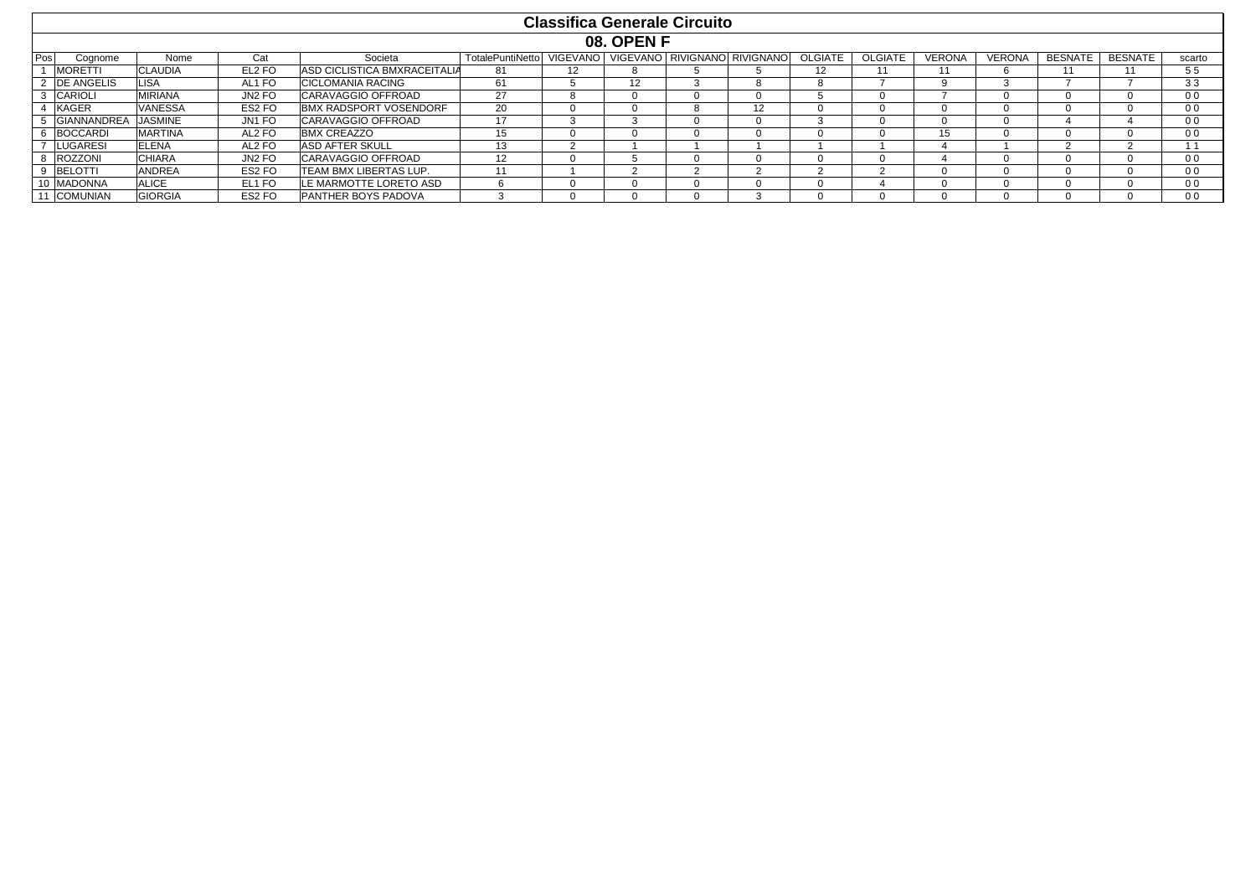|     |                    |                |        |                              |                         |                   | <b>Classifica Generale Circuito</b> |                              |                   |                |               |              |                |                |                |
|-----|--------------------|----------------|--------|------------------------------|-------------------------|-------------------|-------------------------------------|------------------------------|-------------------|----------------|---------------|--------------|----------------|----------------|----------------|
|     |                    |                |        |                              |                         |                   | <b>08. OPEN F</b>                   |                              |                   |                |               |              |                |                |                |
| Pos | Cognome            | Nome           | Cat    | Societa                      | <b>TotalePuntiNetto</b> | <b>VIGEVANO</b>   |                                     | VIGEVANO RIVIGNANO RIVIGNANO | <b>OLGIATE</b>    | <b>OLGIATE</b> | <b>VERONA</b> | VERONA       | <b>BESNATE</b> | <b>BESNATE</b> | scarto         |
|     | <b>MORETTI</b>     | <b>CLAUDIA</b> | EL2 FO | ASD CICLISTICA BMXRACEITALIA | 81                      | $12 \overline{ }$ |                                     |                              | $12 \overline{ }$ |                |               | h            |                |                | 55             |
|     | DE ANGELIS         | <b>LISA</b>    | AL1 FO | CICLOMANIA RACING            | 61                      |                   | 12                                  |                              |                   |                |               |              |                |                | 33             |
|     | <b>CARIOLI</b>     | <b>MIRIANA</b> | JN2 FO | CARAVAGGIO OFFROAD           | 27                      |                   |                                     | U                            |                   |                |               | <sup>0</sup> |                |                | 0 <sub>0</sub> |
|     | <b>KAGER</b>       | <b>VANESSA</b> | ES2 FO | BMX RADSPORT VOSENDORF       | 20                      |                   |                                     | 12                           |                   | $\mathbf{U}$   | $^{\prime}$   | $\Omega$     |                |                | 0 <sub>0</sub> |
|     | <b>GIANNANDREA</b> | JASMINE        | JN1 FO | CARAVAGGIO OFFROAD           | 17                      |                   |                                     |                              |                   | U              |               | $\Omega$     |                |                | 0 <sub>0</sub> |
|     | <b>BOCCARDI</b>    | <b>MARTINA</b> | AL2 FO | <b>BMX CREAZZO</b>           | 15                      |                   |                                     |                              |                   |                | 15            | $\Omega$     |                |                | 0 <sub>0</sub> |
|     | <b>LUGARESI</b>    | <b>ELENA</b>   | AL2 FO | <b>ASD AFTER SKULL</b>       | 13                      |                   |                                     |                              |                   |                |               |              |                |                |                |
|     | ROZZONI            | <b>CHIARA</b>  | JN2 FO | CARAVAGGIO OFFROAD           | 12                      |                   |                                     |                              |                   |                |               | $\Omega$     |                |                | 0 <sub>0</sub> |
|     | <b>BELOTTI</b>     | <b>ANDREA</b>  | ES2 FO | TEAM BMX LIBERTAS LUP.       | 11                      |                   |                                     |                              |                   |                | - 11          | $\Omega$     |                |                | 0 <sub>0</sub> |
|     | 10 MADONNA         | ALICE          | EL1 FO | LE MARMOTTE LORETO ASD       |                         |                   |                                     |                              |                   |                |               | 0            |                |                | 0 <sub>0</sub> |
|     | 11 COMUNIAN        | <b>GIORGIA</b> | ES2 FO | <b>PANTHER BOYS PADOVA</b>   |                         |                   |                                     |                              |                   |                |               | $\Omega$     |                |                | 0 <sub>0</sub> |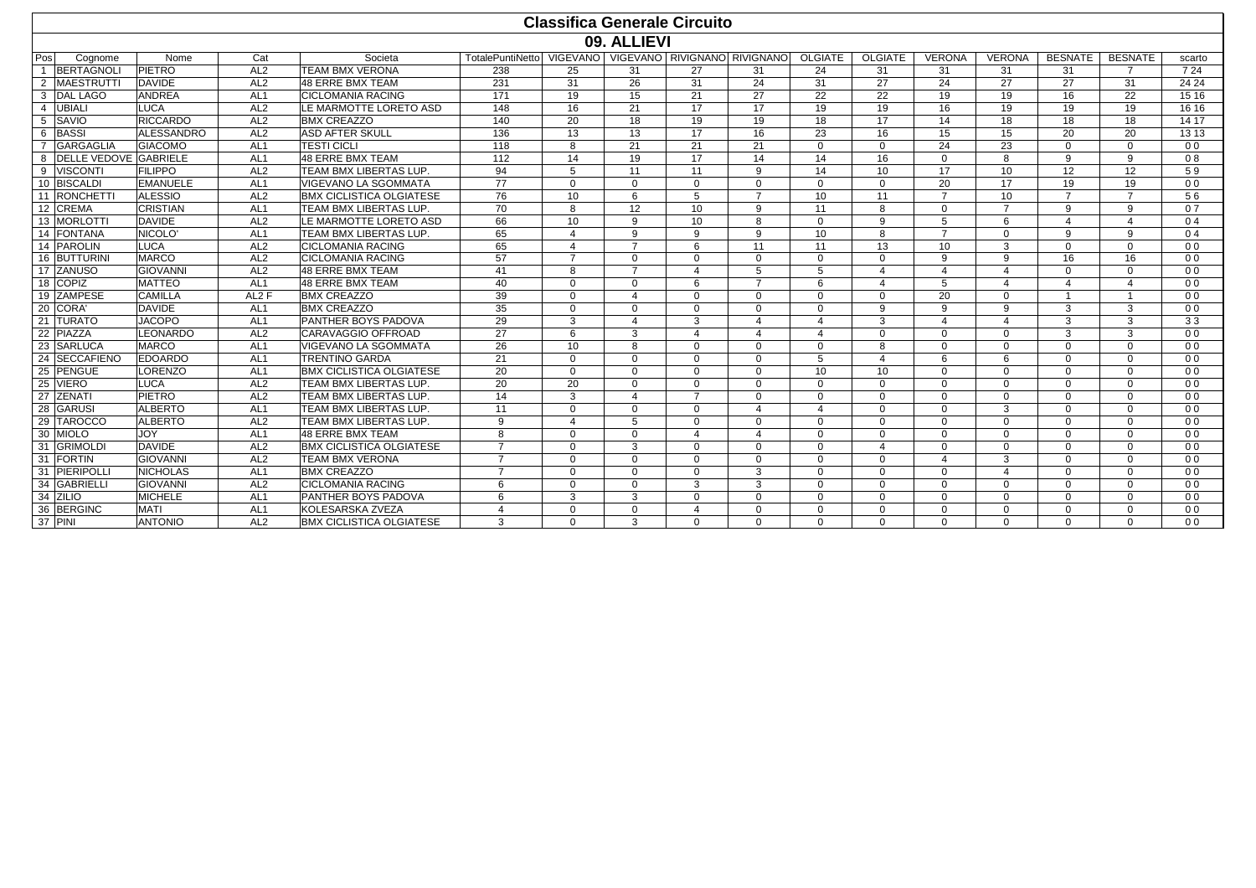|                |                          |                                  |                                    |                                                 |                                                              |                      |                          | <b>Classifica Generale Circuito</b> |                          |                      |                      |                      |                      |                      |                      |                                  |
|----------------|--------------------------|----------------------------------|------------------------------------|-------------------------------------------------|--------------------------------------------------------------|----------------------|--------------------------|-------------------------------------|--------------------------|----------------------|----------------------|----------------------|----------------------|----------------------|----------------------|----------------------------------|
|                |                          |                                  |                                    |                                                 |                                                              |                      | 09. ALLIEVI              |                                     |                          |                      |                      |                      |                      |                      |                      |                                  |
| Pos            | Cognome                  | Nome                             | Cat                                | Societa                                         | TotalePuntiNetto   VIGEVANO   VIGEVANO   RIVIGNANO RIVIGNANO |                      |                          |                                     |                          | <b>OLGIATE</b>       | <b>OLGIATE</b>       | <b>VERONA</b>        | <b>VERONA</b>        | <b>BESNATE</b>       | <b>BESNATE</b>       | scarto                           |
| $\overline{1}$ | <b>BERTAGNOLI</b>        | <b>PIETRO</b>                    | AL <sub>2</sub>                    | <b>TEAM BMX VERONA</b>                          | 238                                                          | 25                   | 31                       | 27                                  | 31                       | 24                   | 31                   | 31                   | 31                   | 31                   | $\overline{7}$       | 7 24                             |
| 2              | <b>MAESTRUTTI</b>        | <b>DAVIDE</b>                    | AL2                                | 48 ERRE BMX TEAM                                | 231                                                          | 31                   | 26                       | 31                                  | 24                       | 31                   | 27                   | 24                   | 27                   | 27                   | 31                   | 24 24                            |
|                | 3 DAL LAGO               | ANDREA                           | AL <sub>1</sub>                    | <b>CICLOMANIA RACING</b>                        | 171                                                          | 19                   | 15                       | 21                                  | 27                       | 22                   | 22                   | 19                   | 19                   | 16                   | 22                   | 15 16                            |
| $\overline{4}$ | UBIALI                   | LUCA                             | AL2                                | LE MARMOTTE LORETO ASD                          | 148                                                          | 16                   | 21                       | 17                                  | 17                       | 19                   | 19                   | 16                   | 19                   | 19                   | 19                   | 16 16                            |
|                | 5 SAVIO                  | <b>RICCARDO</b>                  | AL <sub>2</sub>                    | <b>BMX CREAZZO</b>                              | 140                                                          | 20                   | 18                       | 19                                  | 19                       | 18                   | 17                   | 14                   | 18                   | 18                   | 18                   | 14 17                            |
|                | 6 BASSI                  | <b>ALESSANDRO</b>                | AL <sub>2</sub>                    | <b>ASD AFTER SKULL</b>                          | 136                                                          | 13                   | 13                       | 17                                  | 16                       | 23                   | 16                   | 15                   | 15                   | 20                   | 20                   | 13 13                            |
|                | GARGAGLIA                | <b>GIACOMO</b>                   | AL <sub>1</sub>                    | <b>TESTI CICLI</b>                              | 118                                                          | 8                    | 21                       | 21                                  | 21                       | $\Omega$             | $\Omega$             | 24                   | 23                   | $\Omega$             | $\Omega$             | 0 <sub>0</sub>                   |
|                | 8 DELLE VEDOVE GABRIELE  |                                  | AL <sub>1</sub>                    | 48 ERRE BMX TEAM                                | 112                                                          | 14                   | 19                       | 17                                  | 14                       | 14                   | 16                   | $\Omega$             | 8                    | $\mathbf{q}$         | 9                    | 08                               |
|                | 9 VISCONTI               | <b>FILIPPO</b>                   | AL2                                | <b>TEAM BMX LIBERTAS LUP.</b>                   | 94                                                           | 5                    | 11                       | 11                                  | $\mathbf{Q}$             | 14                   | 10                   | 17                   | 10                   | 12                   | 12                   | 59                               |
|                | 10 BISCALDI              | <b>EMANUELE</b>                  | AL <sub>1</sub>                    | <b>VIGEVANO LA SGOMMATA</b>                     | 77                                                           | $\Omega$             | $\Omega$                 | $\Omega$                            | $\Omega$                 | $\Omega$             | $\Omega$             | 20                   | 17                   | 19                   | 19                   | 0 <sub>0</sub>                   |
|                | 11 RONCHETTI             | <b>ALESSIO</b>                   | AL <sub>2</sub>                    | <b>BMX CICLISTICA OLGIATESE</b>                 | 76                                                           | 10                   | 6                        | 5                                   | $\overline{7}$           | 10                   | 11                   | $\overline{7}$       | 10                   | $\overline{7}$       | $\overline{7}$       | 56                               |
|                | 12 CREMA                 | <b>CRISTIAN</b>                  | AL <sub>1</sub>                    | TEAM BMX LIBERTAS LUP.                          | 70                                                           | 8                    | 12                       | 10 <sup>1</sup>                     | $\mathbf{Q}$             | 11                   | 8                    | $\Omega$             | $\overline{7}$       | $\mathbf{q}$         | $\mathbf{Q}$         | 07                               |
|                | 13 MORLOTTI              | <b>DAVIDE</b>                    | AL <sub>2</sub>                    | LE MARMOTTE LORETO ASD                          | 66                                                           | 10                   | 9                        | 10                                  | 8                        | $\Omega$             | 9                    | 5                    | 6                    | $\Delta$             | 4                    | 0.4                              |
|                | 14 FONTANA               | NICOLO <sup>®</sup>              | AL <sub>1</sub>                    | <b>TEAM BMX LIBERTAS LUP.</b>                   | 65                                                           | $\overline{4}$       | 9                        | $\mathbf{Q}$                        | 9                        | 10 <sup>1</sup>      | 8                    | $\overline{7}$       | $\Omega$             | 9                    | $\mathbf{Q}$         | 0.4                              |
|                | 14 PAROLIN               | <b>LUCA</b>                      | AL <sub>2</sub>                    | <b>CICLOMANIA RACING</b>                        | 65                                                           | $\Delta$             | $\overline{7}$           | 6                                   | 11                       | 11                   | 13                   | 10                   | 3                    | $\Omega$             | $\Omega$             | 0 <sub>0</sub>                   |
|                | 16 BUTTURIN              | <b>MARCO</b>                     | AL2                                | <b>CICLOMANIA RACING</b>                        | 57                                                           | $\overline{7}$       | $\Omega$                 | $\Omega$                            | $\Omega$                 | $\Omega$             | $\Omega$             | 9                    | 9                    | 16                   | 16                   | 0 <sub>0</sub>                   |
|                | 17 ZANUSO                | <b>GIOVANNI</b>                  | AL2                                | 48 ERRE BMX TEAM                                | 41                                                           | $\mathsf{R}$         | $\overline{7}$           | $\mathbf 4$                         | 5                        | 5                    | $\Delta$             | $\mathbf 4$          | $\Delta$             | $\Omega$             | $\Omega$             | 0 <sub>0</sub>                   |
|                | 18 COPIZ                 | <b>MATTEO</b>                    | AL <sub>1</sub>                    | 48 ERRE BMX TEAM                                | 40                                                           | $\Omega$             | $\Omega$                 | 6                                   | $\overline{7}$           | 6                    | $\Delta$             | 5                    | 4                    | $\overline{4}$       | 4                    | 0 <sub>0</sub>                   |
|                | 19 ZAMPESE               | <b>CAMILLA</b>                   | AL <sub>2</sub> F                  | <b>BMX CREAZZO</b>                              | 39                                                           | $\Omega$             | $\overline{4}$           | $\Omega$                            | $\Omega$                 | $\Omega$             | $\Omega$             | 20                   | $\Omega$             | $\overline{1}$       |                      | 0 <sub>0</sub>                   |
|                | 20 CORA                  | <b>DAVIDE</b>                    | AL <sub>1</sub>                    | <b>BMX CREAZZO</b>                              | 35                                                           | $\Omega$             | $\Omega$                 | $\Omega$                            | $\Omega$                 | $\Omega$             | $\mathbf{Q}$         | 9                    | 9                    | 3                    | 3                    | 0 <sub>0</sub>                   |
|                | 21 TURATO                | <b>JACOPO</b>                    | AL <sub>1</sub>                    | PANTHER BOYS PADOVA                             | 29                                                           | 3                    | $\Delta$                 | 3                                   | $\Delta$                 | $\Delta$             | 3                    | $\Delta$             | 4                    | 3                    | 3                    | 33                               |
|                | 22 PIAZZA                | LEONARDO                         | AL2                                | CARAVAGGIO OFFROAD                              | 27                                                           | 6                    | 3                        | $\overline{4}$                      | $\boldsymbol{\varDelta}$ | $\Delta$             | $\Omega$             | $\Omega$             | $\Omega$             | 3                    | 3                    | 0 <sub>0</sub>                   |
|                | 23 SARLUCA               | <b>MARCO</b>                     | AL <sub>1</sub>                    | <b>VIGEVANO LA SGOMMATA</b>                     | 26                                                           | 10 <sup>°</sup>      | 8                        | $\Omega$                            | $\Omega$                 | $\Omega$             | 8                    | $\Omega$             | $\Omega$             | $\Omega$             | $\Omega$             | 0 <sub>0</sub>                   |
|                | 24 SECCAFIENO            | <b>EDOARDO</b>                   | AL <sub>1</sub>                    | <b>TRENTINO GARDA</b>                           | 21                                                           | $\Omega$             | $\Omega$                 | $\Omega$                            | $\Omega$                 | 5                    | $\Delta$             | 6                    | 6                    | $\Omega$             | $\Omega$             | 0 <sub>0</sub>                   |
|                | 25 PENGUE                | LORENZO                          | AL <sub>1</sub>                    | <b>BMX CICLISTICA OLGIATESE</b>                 | 20                                                           | $\Omega$             | $\Omega$                 | $\Omega$                            | $\Omega$                 | 10                   | 10                   | $\Omega$             | $\Omega$             | $\Omega$             | $\Omega$             | 0 <sub>0</sub>                   |
|                | 25 VIERO                 | <b>LUCA</b>                      | AL <sub>2</sub>                    | <b>TEAM BMX LIBERTAS LUP.</b>                   | 20                                                           | 20                   | $\Omega$                 | $\Omega$<br>$\overline{7}$          | $\Omega$                 | $\Omega$             | $\Omega$             | $\Omega$             | $\Omega$             | $\Omega$             | $\Omega$             | 0 <sub>0</sub>                   |
|                | 27 ZENATI                | PIETRO<br><b>ALBERTO</b>         | AL <sub>2</sub>                    | <b>TEAM BMX LIBERTAS LUP.</b>                   | 14                                                           | 3                    | $\overline{a}$           |                                     | $\Omega$                 | $\Omega$             | $\Omega$             | $\Omega$             | $\Omega$             | $\Omega$             | $\Omega$             | 0 <sub>0</sub>                   |
|                | 28 GARUSI                |                                  | AL <sub>1</sub>                    | <b>TEAM BMX LIBERTAS LUP.</b>                   | 11                                                           | $\Omega$             | $\Omega$                 | $\Omega$                            | $\overline{4}$           | $\overline{4}$       | $\Omega$             | $\Omega$             | 3                    | $\Omega$             | $\Omega$             | 0 <sub>0</sub>                   |
|                | 29 TAROCCO<br>30 MIOLO   | <b>ALBERTO</b><br><b>JOY</b>     | AL <sub>2</sub><br>AL <sub>1</sub> | <b>TEAM BMX LIBERTAS LUP.</b>                   | 9<br>8                                                       | $\overline{4}$       | 5                        | $\Omega$                            | $\Omega$<br>$\Delta$     | $\Omega$             | $\Omega$             | $\Omega$             | $\Omega$             | $\Omega$<br>$\Omega$ | $\Omega$             | 0 <sub>0</sub>                   |
|                |                          |                                  |                                    | 48 ERRE BMX TEAM                                | $\overline{7}$                                               | $\Omega$             | $\Omega$                 | $\overline{4}$                      |                          | $\Omega$             | $\Omega$             | $\Omega$             | $\Omega$             |                      | $\Omega$             | 0 <sub>0</sub>                   |
|                | 31 GRIMOLDI<br>31 FORTIN | <b>DAVIDE</b><br><b>GIOVANNI</b> | AL <sub>2</sub><br>AL <sub>2</sub> | <b>BMX CICLISTICA OLGIATESE</b>                 | $\overline{7}$                                               | $\Omega$<br>$\Omega$ | 3                        | $\Omega$                            | $\Omega$<br>$\Omega$     | $\Omega$<br>$\Omega$ | $\Delta$<br>$\Omega$ | $\Omega$<br>$\Delta$ | $\Omega$             | $\Omega$<br>$\Omega$ | $\Omega$             | 0 <sub>0</sub>                   |
|                | 31 PIERIPOLLI            | <b>NICHOLAS</b>                  | AL <sub>1</sub>                    | <b>TEAM BMX VERONA</b><br><b>BMX CREAZZO</b>    | $\overline{7}$                                               | $\Omega$             | $\mathbf{0}$<br>$\Omega$ | $\Omega$<br>$\Omega$                | 3                        | $\Omega$             | $\Omega$             | $\Omega$             | 3<br>4               | $\Omega$             | $\Omega$<br>$\Omega$ | 0 <sub>0</sub><br>0 <sub>0</sub> |
|                | 34 GABRIELLI             | <b>GIOVANNI</b>                  | AL <sub>2</sub>                    |                                                 |                                                              |                      | $\Omega$                 |                                     | 3                        | $\Omega$             |                      |                      |                      | $\Omega$             |                      |                                  |
|                | 34 ZILIO                 | <b>MICHELE</b>                   | AL <sub>1</sub>                    | <b>CICLOMANIA RACING</b><br>PANTHER BOYS PADOVA | 6<br>6                                                       | $\Omega$<br>3        | 3                        | 3<br>$\Omega$                       | $\Omega$                 | $\Omega$             | $\Omega$<br>$\Omega$ | $\Omega$<br>$\Omega$ | $\Omega$<br>$\Omega$ | $\Omega$             | $\Omega$<br>$\Omega$ | 0 <sub>0</sub><br>0 <sub>0</sub> |
|                | 36 BERGINC               | <b>MATI</b>                      | AL <sub>1</sub>                    | KOLESARSKA ZVEZA                                | $\Delta$                                                     | $\Omega$             | $\Omega$                 | $\mathbf 4$                         | $\Omega$                 | $\Omega$             | $\Omega$             | $\Omega$             | $\Omega$             | $\Omega$             | $\Omega$             | 0 <sub>0</sub>                   |
|                |                          |                                  | AL2                                |                                                 | $\mathcal{R}$                                                | $\Omega$             | 3                        | $\Omega$                            | U                        | $\Omega$             | $\Omega$             | $\Omega$             |                      |                      |                      |                                  |
| 37 PINI        |                          | <b>ANTONIO</b>                   |                                    | <b>BMX CICLISTICA OLGIATESE</b>                 |                                                              |                      |                          |                                     |                          |                      |                      |                      | $\Omega$             | $\Omega$             | $\Omega$             | 0 <sub>0</sub>                   |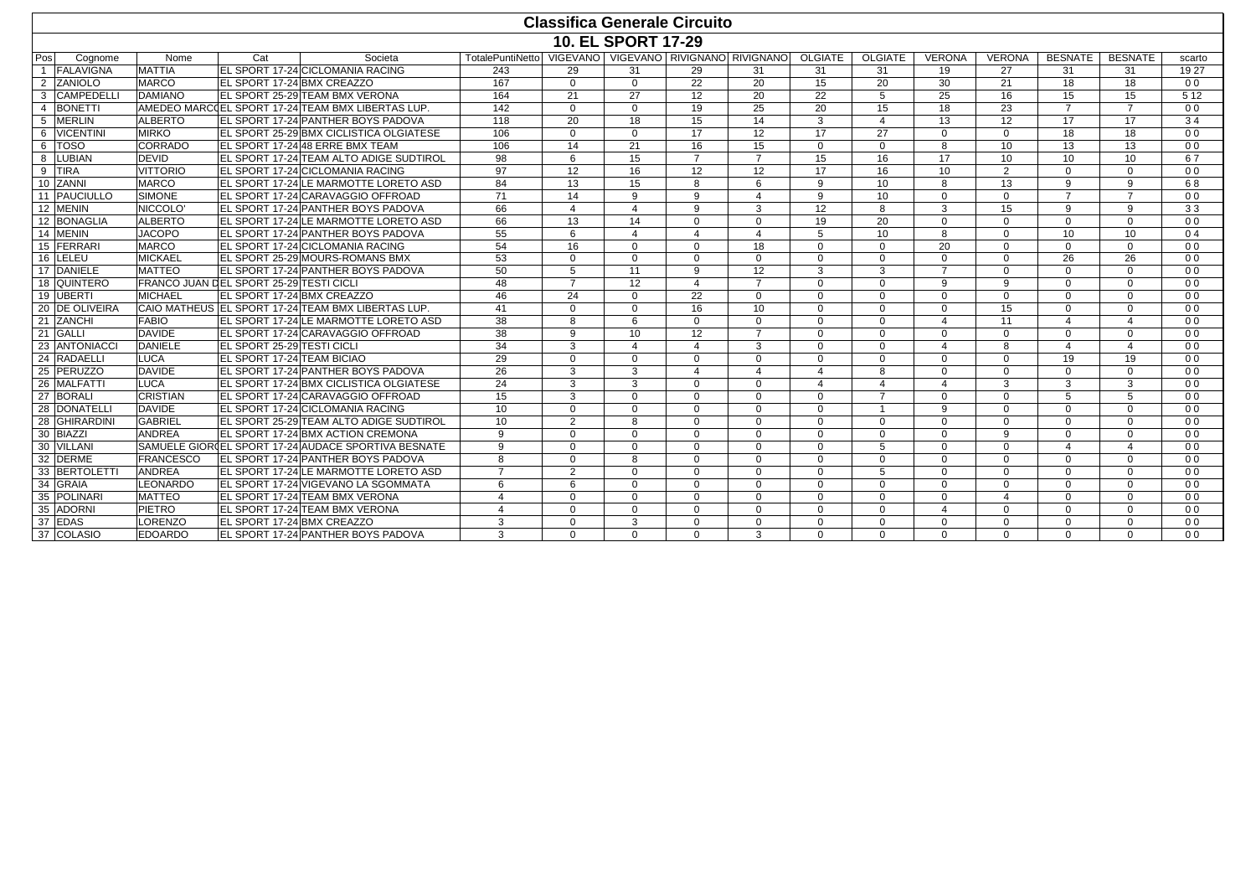|     |                   | <b>Classifica Generale Circuito</b>     |     |                                                     |                                                                |                         |                           |                |                          |                 |                |                |               |                 |                |                |
|-----|-------------------|-----------------------------------------|-----|-----------------------------------------------------|----------------------------------------------------------------|-------------------------|---------------------------|----------------|--------------------------|-----------------|----------------|----------------|---------------|-----------------|----------------|----------------|
|     |                   |                                         |     |                                                     |                                                                |                         | <b>10. EL SPORT 17-29</b> |                |                          |                 |                |                |               |                 |                |                |
| Pos | Cognome           | Nome                                    | Cat | Societa                                             | TotalePuntiNetto   VIGEVANO   VIGEVANO   RIVIGNANO   RIVIGNANO |                         |                           |                |                          | <b>OLGIATE</b>  | <b>OLGIATE</b> | <b>VERONA</b>  | <b>VERONA</b> | <b>BESNATE</b>  | <b>BESNATE</b> | scarto         |
|     | <b>FALAVIGNA</b>  | <b>MATTIA</b>                           |     | EL SPORT 17-24 CICLOMANIA RACING                    | 243                                                            | 29                      | 31                        | 29             | 31                       | 31              | 31             | 19             | 27            | 31              | 31             | 19 27          |
|     | 2 ZANIOLO         | <b>MARCO</b>                            |     | <b>EL SPORT 17-24 BMX CREAZZO</b>                   | 167                                                            | $\Omega$                | $\Omega$                  | 22             | 20                       | 15              | 20             | 30             | 21            | 18              | 18             | 0 <sub>0</sub> |
| 3   | <b>CAMPEDELLI</b> | <b>DAMIANO</b>                          |     | EL SPORT 25-29 TEAM BMX VERONA                      | 164                                                            | 21                      | 27                        | 12             | 20                       | 22              | 5              | 25             | 16            | 15              | 15             | 5 1 2          |
|     | <b>BONETTI</b>    |                                         |     | AMEDEO MARCCEL SPORT 17-24 TEAM BMX LIBERTAS LUP.   | 142                                                            | $\Omega$                | $\Omega$                  | 19             | $\overline{25}$          | $\overline{20}$ | 15             | 18             | 23            | $\overline{7}$  | $\overline{7}$ | 0 <sub>0</sub> |
| 5   | <b>MERLIN</b>     | <b>ALBERTO</b>                          |     | EL SPORT 17-24 PANTHER BOYS PADOVA                  | 118                                                            | 20                      | 18                        | 15             | 14                       | 3               | $\overline{4}$ | 13             | 12            | 17              | 17             | 34             |
| 6   | <b>VICENTINI</b>  | <b>MIRKO</b>                            |     | EL SPORT 25-29 BMX CICLISTICA OLGIATESE             | 106                                                            | $\Omega$                | $\Omega$                  | 17             | 12                       | 17              | 27             | $\Omega$       | $\Omega$      | 18              | 18             | 0 <sub>0</sub> |
| 6   | <b>TOSO</b>       | CORRADO                                 |     | EL SPORT 17-24 48 ERRE BMX TEAM                     | 106                                                            | 14                      | 21                        | 16             | 15                       | $\Omega$        | $\Omega$       | 8              | 10            | 13              | 13             | 0 <sub>0</sub> |
| 8   | LUBIAN            | <b>DEVID</b>                            |     | EL SPORT 17-24 TEAM ALTO ADIGE SUDTIROL             | 98                                                             | 6                       | 15                        | $\overline{7}$ | $\overline{7}$           | 15              | 16             | 17             | 10            | 10              | 10             | 67             |
| 9   | <b>TIRA</b>       | <b>VITTORIO</b>                         |     | EL SPORT 17-24 CICLOMANIA RACING                    | 97                                                             | 12                      | 16                        | 12             | 12                       | 17              | 16             | 10             | 2             | $\Omega$        | $\Omega$       | 0 <sub>0</sub> |
|     | 10 ZANNI          | <b>MARCO</b>                            |     | EL SPORT 17-24 LE MARMOTTE LORETO ASD               | 84                                                             | 13                      | 15                        | 8              | 6                        | 9               | 10             | 8              | 13            | 9               | 9              | 68             |
|     | 11 PAUCIULLO      | <b>SIMONE</b>                           |     | EL SPORT 17-24 CARAVAGGIO OFFROAD                   | 71                                                             | 14                      | 9                         | $\mathbf{q}$   | $\boldsymbol{\varDelta}$ | $\mathbf{q}$    | 10             | $\Omega$       | $\Omega$      | $\overline{7}$  | $\overline{7}$ | 0 <sub>0</sub> |
|     | 12 MENIN          | NICCOLO <sup>®</sup>                    |     | <b>EL SPORT 17-24 PANTHER BOYS PADOVA</b>           | 66                                                             | $\overline{\mathbf{A}}$ | $\overline{4}$            | $\mathbf{Q}$   | 3                        | 12              | $\mathbf{8}$   | 3              | 15            | 9               | 9              | 33             |
|     | 12 BONAGLIA       | <b>ALBERTO</b>                          |     | EL SPORT 17-24 LE MARMOTTE LORETO ASD               | 66                                                             | 13                      | 14                        | $\Omega$       | $\Omega$                 | 19              | 20             | $\Omega$       | $\Omega$      | $\Omega$        | $\Omega$       | 0 <sub>0</sub> |
|     | 14 MENIN          | <b>JACOPO</b>                           |     | EL SPORT 17-24 PANTHER BOYS PADOVA                  | 55                                                             | 6                       | $\overline{4}$            | $\mathbf 4$    | $\overline{4}$           | 5               | 10             | 8              | $\Omega$      | 10 <sup>1</sup> | 10             | 0.4            |
|     | 15 FERRARI        | <b>MARCO</b>                            |     | EL SPORT 17-24 CICLOMANIA RACING                    | 54                                                             | 16                      | $\Omega$                  | $\Omega$       | 18                       | $\Omega$        | $\Omega$       | 20             | $\Omega$      | $\Omega$        | $\Omega$       | 0 <sub>0</sub> |
|     | 16 LELEU          | <b>MICKAEL</b>                          |     | EL SPORT 25-29 MOURS-ROMANS BMX                     | 53                                                             | $\Omega$                | $\Omega$                  | $\Omega$       | $\Omega$                 | $\Omega$        | $\Omega$       | $\Omega$       | $\Omega$      | 26              | 26             | 0 <sub>0</sub> |
|     | 17 DANIELE        | <b>MATTEO</b>                           |     | EL SPORT 17-24 PANTHER BOYS PADOVA                  | 50                                                             | 5                       | 11                        | $\mathbf{q}$   | 12                       | 3               | 3              | $\overline{7}$ | $\Omega$      | $\Omega$        | $\Omega$       | 0 <sub>0</sub> |
|     | 18 QUINTERO       | FRANCO JUAN DEL SPORT 25-29 TESTI CICLI |     |                                                     | 48                                                             | $\overline{7}$          | 12                        | $\mathbf 4$    | $\overline{7}$           | $\Omega$        | $\Omega$       | 9              | 9             | $\Omega$        | $\Omega$       | 0 <sub>0</sub> |
|     | 19 UBERTI         | MICHAEL                                 |     | EL SPORT 17-24 BMX CREAZZO                          | 46                                                             | 24                      | $\Omega$                  | 22             | $\Omega$                 | $\Omega$        | $\Omega$       | $\Omega$       | $\Omega$      | $\Omega$        | $\Omega$       | 0 <sub>0</sub> |
|     | 20 DE OLIVEIRA    |                                         |     | CAIO MATHEUS EL SPORT 17-24 TEAM BMX LIBERTAS LUP.  | 41                                                             | $\Omega$                | $\Omega$                  | 16             | 10                       | $\Omega$        | $\Omega$       | $\Omega$       | 15            | $\Omega$        | $\Omega$       | 0 <sub>0</sub> |
|     | 21 ZANCHI         | <b>FABIO</b>                            |     | EL SPORT 17-24 LE MARMOTTE LORETO ASD               | 38                                                             | $\mathsf{R}$            | 6                         | $\Omega$       | $\Omega$                 | $\Omega$        | $\Omega$       | $\Delta$       | 11            | $\overline{4}$  | 4              | 0 <sub>0</sub> |
|     | 21 GALLI          | <b>DAVIDE</b>                           |     | <b>EL SPORT 17-24 CARAVAGGIO OFFROAD</b>            | 38                                                             | $\mathbf{Q}$            | 10                        | 12             | $\overline{7}$           | $\Omega$        | $\Omega$       | $\Omega$       | $\Omega$      | $\Omega$        | $\Omega$       | 0 <sub>0</sub> |
|     | 23 ANTONIACCI     | <b>DANIELE</b>                          |     | EL SPORT 25-29 TESTI CICLI                          | 34                                                             | 3                       | $\Delta$                  | $\mathbf 4$    | 3                        | $\Omega$        | $\Omega$       | $\overline{4}$ | 8             | $\overline{4}$  | 4              | 0 <sub>0</sub> |
|     | 24 RADAELLI       | <b>LUCA</b>                             |     | EL SPORT 17-24 TEAM BICIAO                          | 29                                                             | $\Omega$                | $\Omega$                  | $\Omega$       | $\mathbf 0$              | $\Omega$        | $\Omega$       | $\Omega$       | $\Omega$      | 19              | 19             | 0 <sub>0</sub> |
|     | 25 PERUZZO        | <b>DAVIDE</b>                           |     | <b>EL SPORT 17-24 PANTHER BOYS PADOVA</b>           | 26                                                             | 3                       | 3                         | $\Delta$       | $\Delta$                 | $\Delta$        | $\mathbf{8}$   | $\Omega$       | $\Omega$      | $\Omega$        | $\Omega$       | 0 <sub>0</sub> |
|     | 26 MALFATTI       | LUCA                                    |     | EL SPORT 17-24 BMX CICLISTICA OLGIATESE             | 24                                                             | 3                       | 3                         | $\Omega$       | $\Omega$                 | $\overline{4}$  | $\overline{4}$ | $\overline{a}$ | 3             | 3               | 3              | 0 <sub>0</sub> |
|     | 27 BORALI         | <b>CRISTIAN</b>                         |     | EL SPORT 17-24 CARAVAGGIO OFFROAD                   | 15                                                             | 3                       | $\Omega$                  | $\Omega$       | $\Omega$                 | $\Omega$        | $\overline{7}$ | $\Omega$       | $\Omega$      | 5               | 5              | 0 <sub>0</sub> |
| 28  | <b>DONATELLI</b>  | <b>DAVIDE</b>                           |     | EL SPORT 17-24 CICLOMANIA RACING                    | 10                                                             | $\Omega$                | $\Omega$                  | $\Omega$       | $\Omega$                 | $\Omega$        | $\overline{1}$ | 9              | $\Omega$      | $\Omega$        | $\Omega$       | 0 <sub>0</sub> |
| 28  | <b>GHIRARDINI</b> | <b>GABRIEL</b>                          |     | EL SPORT 25-29 TEAM ALTO ADIGE SUDTIROL             | 10                                                             | $\overline{2}$          | 8                         | $\Omega$       | $\Omega$                 | $\Omega$        | $\Omega$       | $\Omega$       | $\Omega$      | $\Omega$        | $\Omega$       | 0 <sub>0</sub> |
|     | 30 BIAZZI         | ANDREA                                  |     | EL SPORT 17-24 BMX ACTION CREMONA                   | 9                                                              | $\Omega$                | $\Omega$                  | $\Omega$       | $\Omega$                 | $\Omega$        | $\Omega$       | $\Omega$       | 9             | $\Omega$        | $\Omega$       | 0 <sub>0</sub> |
|     | 30 VILLANI        |                                         |     | SAMUELE GIORDEL SPORT 17-24 AUDACE SPORTIVA BESNATE | 9                                                              | $\Omega$                | $\Omega$                  | $\Omega$       | $\Omega$                 | $\Omega$        | 5              | $\Omega$       | $\Omega$      | $\overline{4}$  | 4              | 0 <sub>0</sub> |
|     | 32 DERME          | <b>FRANCESCO</b>                        |     | <b>EL SPORT 17-24 PANTHER BOYS PADOVA</b>           | 8                                                              | $\Omega$                | 8                         | $\Omega$       | $\Omega$                 | $\Omega$        | $\Omega$       | $\Omega$       | $\Omega$      | $\Omega$        | $\Omega$       | 0 <sub>0</sub> |
|     | 33 BERTOLETTI     | ANDREA                                  |     | EL SPORT 17-24 LE MARMOTTE LORETO ASD               | $\overline{7}$                                                 | $\overline{2}$          | $\Omega$                  | $\Omega$       | $\Omega$                 | $\Omega$        | 5              | $\Omega$       | $\Omega$      | $\Omega$        | $\Omega$       | 0 <sub>0</sub> |
| 34  | <b>GRAIA</b>      | <b>LEONARDO</b>                         |     | EL SPORT 17-24 VIGEVANO LA SGOMMATA                 | 6                                                              | 6                       | $\Omega$                  | $\Omega$       | $\Omega$                 | $\Omega$        | $\Omega$       | $\Omega$       | $\Omega$      | $\Omega$        | $\Omega$       | 0 <sub>0</sub> |
| 35  | POLINARI          | <b>MATTEO</b>                           |     | <b>EL SPORT 17-24 TEAM BMX VERONA</b>               | $\overline{a}$                                                 | $\Omega$                | $\Omega$                  | $\Omega$       | $\Omega$                 | $\Omega$        | $\Omega$       | $\Omega$       | 4             | $\Omega$        | $\Omega$       | 0 <sub>0</sub> |
| 35  | <b>ADORNI</b>     | <b>PIETRO</b>                           |     | <b>EL SPORT 17-24 TEAM BMX VERONA</b>               | 4                                                              | $\Omega$                | $\Omega$                  | $\Omega$       | $\Omega$                 | $\Omega$        | $\Omega$       | $\overline{a}$ | $\Omega$      | $\Omega$        | $\Omega$       | 0 <sub>0</sub> |
|     | 37 EDAS           | <b>LORENZO</b>                          |     | EL SPORT 17-24 BMX CREAZZO                          | 3                                                              | $\Omega$                | 3                         | $\Omega$       | $\mathbf 0$              | $\mathbf 0$     | $\mathbf{0}$   | $\mathbf 0$    | $\mathbf 0$   | $\mathbf 0$     | $\mathbf 0$    | 0 <sub>0</sub> |
|     | 37 COLASIO        | <b>EDOARDO</b>                          |     | EL SPORT 17-24 PANTHER BOYS PADOVA                  | 3                                                              | $\Omega$                | $\Omega$                  | $\Omega$       | 3                        | $\Omega$        | $\Omega$       | $\Omega$       | $\Omega$      | $\Omega$        | $\Omega$       | 0 <sub>0</sub> |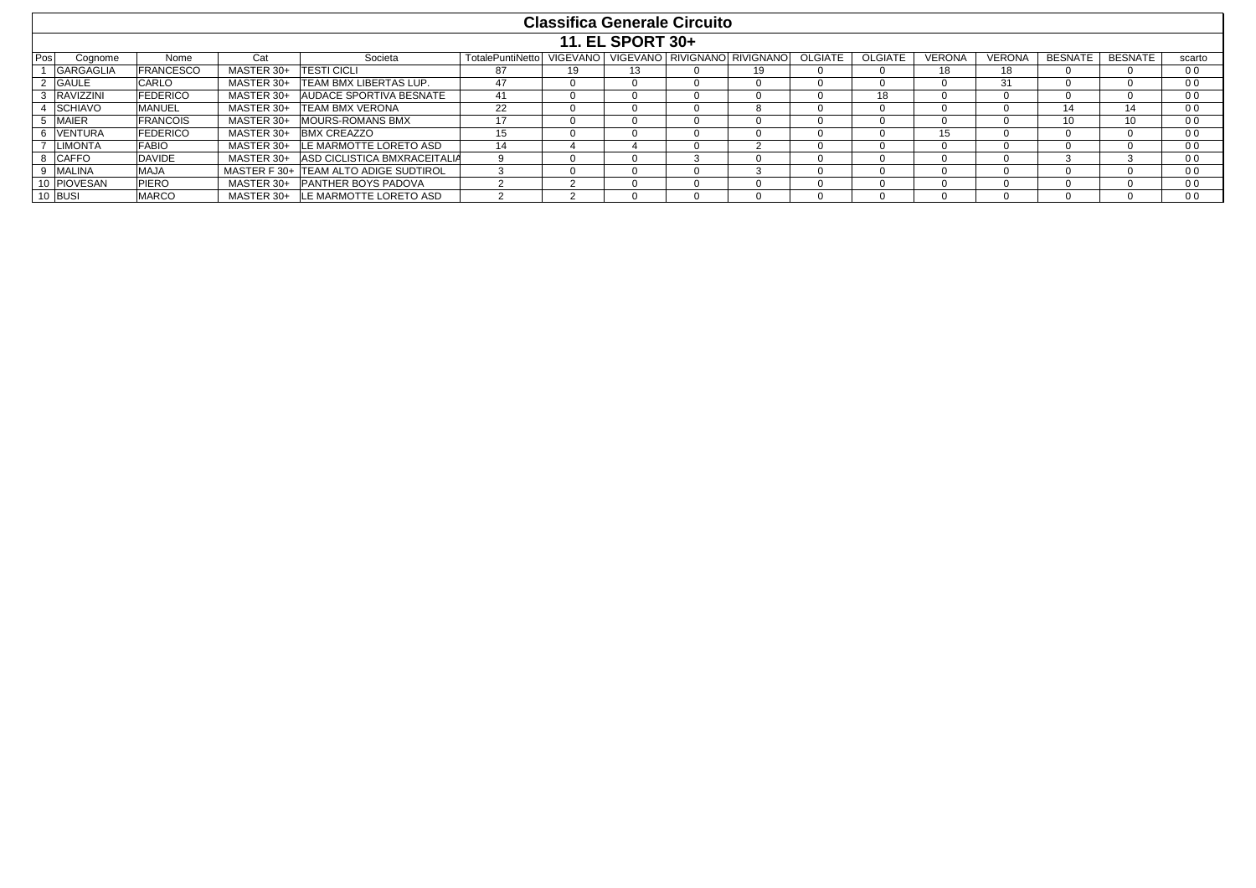|     |                  |                  |            |                                       |                          |                 |                  | <b>Classifica Generale Circuito</b> |                              |                |                |               |               |                 |                |                |
|-----|------------------|------------------|------------|---------------------------------------|--------------------------|-----------------|------------------|-------------------------------------|------------------------------|----------------|----------------|---------------|---------------|-----------------|----------------|----------------|
|     |                  |                  |            |                                       |                          |                 | 11. EL SPORT 30+ |                                     |                              |                |                |               |               |                 |                |                |
| Pos | Cognome          | Nome             | Cat        | Societa                               | <b>TotalePuntiNettol</b> | <b>VIGEVANO</b> |                  |                                     | VIGEVANO RIVIGNANO RIVIGNANO | <b>OLGIATE</b> | <b>OLGIATE</b> | <b>VERONA</b> | <b>VERONA</b> | <b>BESNATE</b>  | <b>BESNATE</b> | scarto         |
|     | GARGAGLIA        | <b>FRANCESCO</b> | MASTER 30+ | <b>ITESTI CICLI</b>                   | 87                       | 19              | 13               |                                     | 19                           |                |                | 18            | 18            |                 |                | 0 <sub>0</sub> |
|     | <b>GAULE</b>     | <b>CARLO</b>     | MASTER 30+ | <b>TEAM BMX LIBERTAS LUP.</b>         | 47                       |                 |                  |                                     |                              |                |                |               | 31            |                 |                | 0 <sub>0</sub> |
|     | <b>RAVIZZINI</b> | <b>FEDERICO</b>  | MASTER 30+ | <b>AUDACE SPORTIVA BESNATE</b>        | -41                      |                 |                  |                                     |                              |                | 18             |               | 0             |                 |                | 00             |
|     | <b>SCHIAVO</b>   | <b>MANUEL</b>    | MASTER 30+ | <b>TEAM BMX VERONA</b>                | 22                       |                 |                  |                                     | 8                            |                |                |               | $\Omega$      | 14              |                | 0 <sub>0</sub> |
|     | <b>MAIER</b>     | <b>FRANCOIS</b>  | MASTER 30+ | <b>MOURS-ROMANS BMX</b>               | 17                       |                 |                  |                                     |                              |                |                |               | <sup>o</sup>  | 10 <sup>1</sup> |                | 0 <sub>0</sub> |
|     | <b>VENTURA</b>   | <b>FEDERICO</b>  | MASTER 30+ | <b>BMX CREAZZO</b>                    | 15                       |                 |                  |                                     |                              |                |                | 15            | 0             |                 |                | 0 <sub>0</sub> |
|     | <b>LIMONTA</b>   | <b>FABIO</b>     | MASTER 30+ | <b>ILE MARMOTTE LORETO ASD</b>        | 14                       |                 |                  |                                     |                              |                |                |               | $\Omega$      |                 |                | 0 <sub>0</sub> |
|     | 8 CAFFO          | <b>DAVIDE</b>    | MASTER 30+ | <b>ASD CICLISTICA BMXRACEITALIA</b>   |                          |                 |                  |                                     |                              |                |                |               | $\Omega$      |                 |                | 00             |
|     | MALINA           | <b>MAJA</b>      |            | MASTER F 30+ TEAM ALTO ADIGE SUDTIROL |                          |                 |                  |                                     |                              |                |                | $\mathbf{u}$  | $\Omega$      |                 |                | 0 <sub>0</sub> |
|     | 10 PIOVESAN      | <b>PIERO</b>     | MASTER 30+ | <b>PANTHER BOYS PADOVA</b>            |                          |                 |                  |                                     |                              |                |                |               | 0             |                 |                | 0 <sub>0</sub> |
|     | 10 BUSI          | <b>MARCO</b>     |            | MASTER 30+ ILE MARMOTTE LORETO ASD    |                          |                 |                  |                                     |                              |                |                |               |               |                 |                | 0 <sub>0</sub> |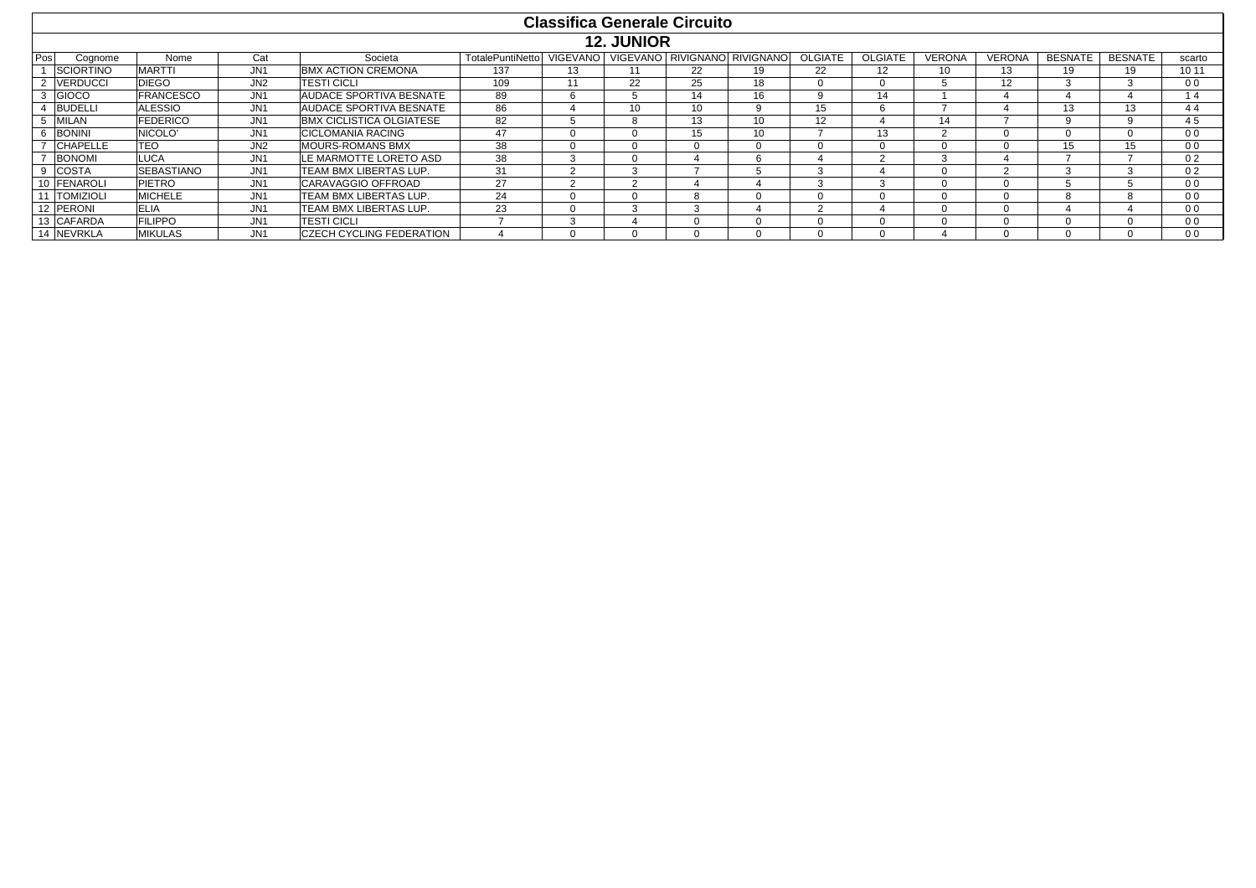|     |                  |                     |                 |                                 |                          | <b>Classifica Generale Circuito</b> |                   |                  |                              |                |                |               |               |                |                |                |
|-----|------------------|---------------------|-----------------|---------------------------------|--------------------------|-------------------------------------|-------------------|------------------|------------------------------|----------------|----------------|---------------|---------------|----------------|----------------|----------------|
|     |                  |                     |                 |                                 |                          |                                     | <b>12. JUNIOR</b> |                  |                              |                |                |               |               |                |                |                |
| Pos | Cognome          | Nome                | Cat             | Societa                         | <b>TotalePuntiNettol</b> | <b>VIGEVANO</b>                     |                   |                  | VIGEVANO RIVIGNANO RIVIGNANO | <b>OLGIATE</b> | <b>OLGIATE</b> | <b>VERONA</b> | <b>VERONA</b> | <b>BESNATE</b> | <b>BESNATE</b> | scarto         |
|     | <b>SCIORTINO</b> | <b>MARTTI</b>       | JN <sub>1</sub> | <b>BMX ACTION CREMONA</b>       | 137                      | 13                                  |                   | 22               | 19                           | 22             | 12             | 10            | 13            | 19             | 19             | 10 11          |
|     | <b>VERDUCCI</b>  | <b>DIEGO</b>        | JN <sub>2</sub> | <b>TESTI CICLI</b>              | 109                      |                                     | 22                | 25               | 18                           |                | n              |               | 12            | 3              |                | 0 <sub>0</sub> |
|     | <b>GIOCO</b>     | <b>FRANCESCO</b>    | JN <sub>1</sub> | AUDACE SPORTIVA BESNATE         | 89                       | h                                   |                   | 14               | 16                           | q              | 14             |               |               | д              |                | 14             |
|     | <b>BUDELLI</b>   | <b>ALESSIO</b>      | JN <sub>1</sub> | AUDACE SPORTIVA BESNATE         | 86                       |                                     | 10                | 10 <sup>10</sup> | 9                            | 15             | 6              |               |               | 13             | 13             | 44             |
|     | <b>MILAN</b>     | <b>FEDERICO</b>     | JN <sub>1</sub> | BMX CICLISTICA OLGIATESE        | 82                       |                                     |                   | 13               | 10 <sup>1</sup>              | 12             |                | 14            |               | 9              |                | 45             |
|     | <b>BONINI</b>    | NICOLO <sup>®</sup> | JN <sub>1</sub> | <b>CICLOMANIA RACING</b>        | 47                       |                                     |                   | 15               | 10                           |                | 13             |               |               | $\Omega$       |                | 0 <sub>0</sub> |
|     | <b>CHAPELLE</b>  | <b>TEO</b>          | JN <sub>2</sub> | <b>MOURS-ROMANS BMX</b>         | 38                       |                                     |                   |                  | <sup>0</sup>                 |                | $\Omega$       | -0            |               | 15             | 15             | 0 <sub>0</sub> |
|     | <b>BONOMI</b>    | <b>LUCA</b>         | JN <sub>1</sub> | LE MARMOTTE LORETO ASD          | 38                       |                                     |                   |                  | h                            |                |                |               |               |                |                | 02             |
|     | <b>COSTA</b>     | <b>SEBASTIANO</b>   | JN <sub>1</sub> | TEAM BMX LIBERTAS LUP.          | 31                       | $\sim$                              | $\sim$            |                  |                              | 3              |                | -0            | $\sim$        | 3              | $\sim$         | 0 <sub>2</sub> |
|     | 10 FENAROLI      | <b>PIETRO</b>       | JN <sub>1</sub> | CARAVAGGIO OFFROAD              | 27                       |                                     |                   |                  |                              |                | ۰. ب           | <b>U</b>      |               |                |                | 0 <sub>0</sub> |
|     | 11 TOMIZIOLI     | <b>MICHELE</b>      | JN <sub>1</sub> | TEAM BMX LIBERTAS LUP.          | 24                       |                                     |                   |                  | <sup>0</sup>                 |                | n              | $\Omega$      |               | 8              |                | 0 <sub>0</sub> |
|     | 12 PERONI        | <b>ELIA</b>         | JN <sub>1</sub> | TEAM BMX LIBERTAS LUP.          | 23                       |                                     | $\sim$            | $\sim$           | ≖                            | $\sim$         |                | $\Omega$      |               |                |                | 0 <sub>0</sub> |
|     | 13 CAFARDA       | <b>FILIPPO</b>      | JN <sub>1</sub> | <b>TESTI CICLI</b>              |                          |                                     |                   |                  | $\Omega$                     |                | 0              | $\mathbf{U}$  |               | $\Omega$       |                | 0 <sub>0</sub> |
|     | 14 NEVRKLA       | <b>MIKULAS</b>      | JN <sub>1</sub> | <b>CZECH CYCLING FEDERATION</b> |                          |                                     |                   |                  | $\Omega$                     |                |                |               |               | $\Omega$       |                | 0 <sub>0</sub> |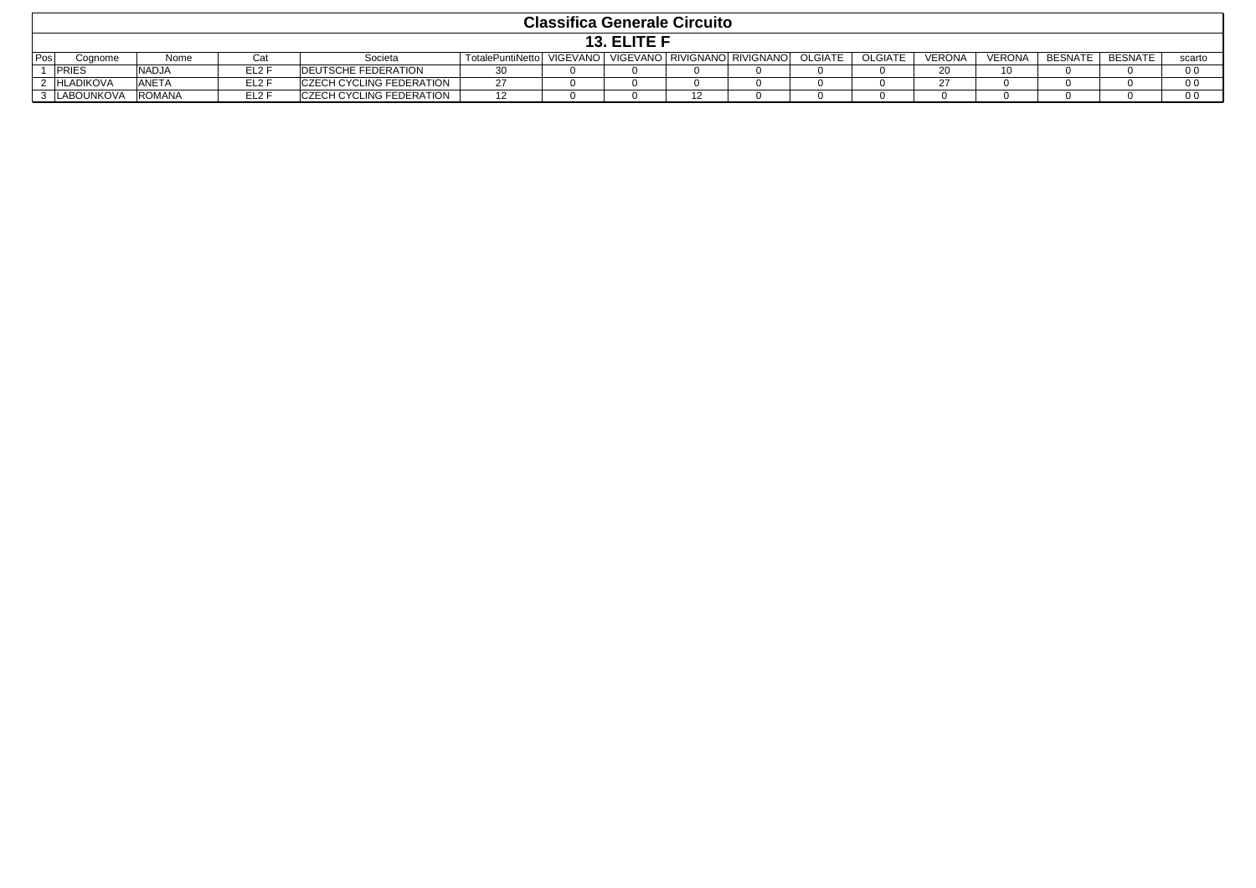|     | <b>Classifica Generale Circuito</b> |               |                   |                                 |                           |  |  |  |                              |                |                |        |               |                |         |        |
|-----|-------------------------------------|---------------|-------------------|---------------------------------|---------------------------|--|--|--|------------------------------|----------------|----------------|--------|---------------|----------------|---------|--------|
|     | 13. ELITE F                         |               |                   |                                 |                           |  |  |  |                              |                |                |        |               |                |         |        |
| Pos | Cognome                             | Nome          | Cat               | Societa                         | TotalePuntiNetto VIGEVANO |  |  |  | VIGEVANO RIVIGNANO RIVIGNANO | <b>OLGIATE</b> | <b>OLGIATE</b> | VERONA | <b>VERONA</b> | <b>BESNATE</b> | BESNATE | scarto |
|     | <b>PRIES</b>                        | <b>NADJA</b>  | EL <sub>2</sub> F | <b>DEUTSCHE FEDERATION</b>      | 30                        |  |  |  |                              |                |                |        | 10            |                |         | 0 O    |
|     | <b>HLADIKOVA</b>                    | <b>ANETA</b>  | EL2 F             | <b>CZECH CYCLING FEDERATION</b> | ົ<br>۷                    |  |  |  |                              |                |                |        |               |                |         | ი ი    |
|     | LABOUNKOVA                          | <b>ROMANA</b> | EL <sub>2</sub> F | <b>CZECH CYCLING FEDERATION</b> |                           |  |  |  |                              |                |                |        |               |                |         | 0 O    |